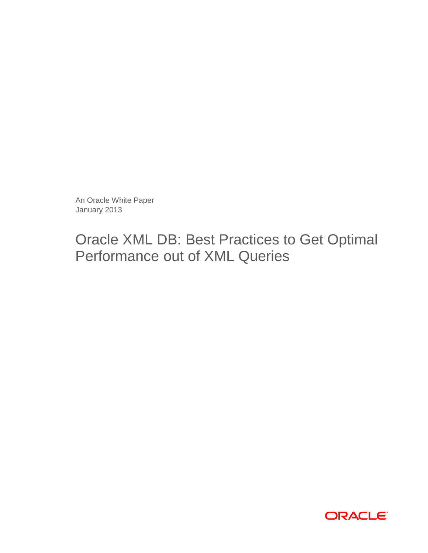An Oracle White Paper January 2013

# Oracle XML DB: Best Practices to Get Optimal Performance out of XML Queries

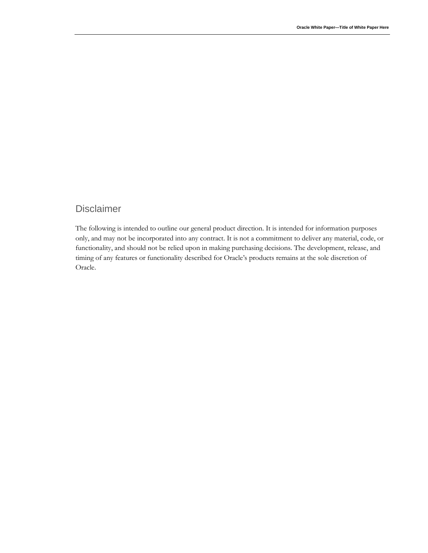# Disclaimer

The following is intended to outline our general product direction. It is intended for information purposes only, and may not be incorporated into any contract. It is not a commitment to deliver any material, code, or functionality, and should not be relied upon in making purchasing decisions. The development, release, and timing of any features or functionality described for Oracle's products remains at the sole discretion of Oracle.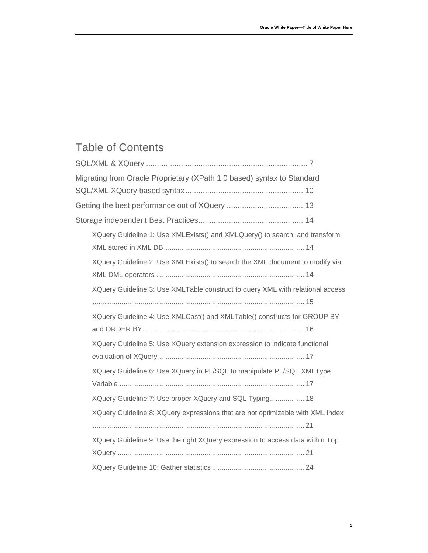# Table of Contents

| Migrating from Oracle Proprietary (XPath 1.0 based) syntax to Standard         |  |
|--------------------------------------------------------------------------------|--|
|                                                                                |  |
|                                                                                |  |
|                                                                                |  |
| XQuery Guideline 1: Use XMLExists() and XMLQuery() to search and transform     |  |
|                                                                                |  |
| XQuery Guideline 2: Use XMLExists() to search the XML document to modify via   |  |
|                                                                                |  |
| XQuery Guideline 3: Use XMLTable construct to query XML with relational access |  |
|                                                                                |  |
| XQuery Guideline 4: Use XMLCast() and XMLTable() constructs for GROUP BY       |  |
|                                                                                |  |
| XQuery Guideline 5: Use XQuery extension expression to indicate functional     |  |
|                                                                                |  |
| XQuery Guideline 6: Use XQuery in PL/SQL to manipulate PL/SQL XMLType          |  |
|                                                                                |  |
| XQuery Guideline 7: Use proper XQuery and SQL Typing 18                        |  |
| XQuery Guideline 8: XQuery expressions that are not optimizable with XML index |  |
|                                                                                |  |
| XQuery Guideline 9: Use the right XQuery expression to access data within Top  |  |
|                                                                                |  |
|                                                                                |  |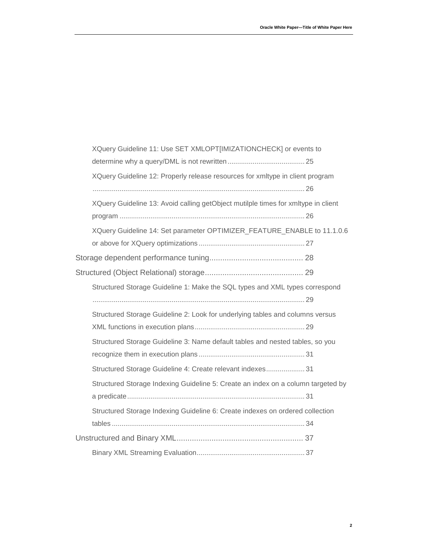| XQuery Guideline 11: Use SET XMLOPT[IMIZATIONCHECK] or events to                  |  |
|-----------------------------------------------------------------------------------|--|
|                                                                                   |  |
| XQuery Guideline 12: Properly release resources for xmltype in client program     |  |
|                                                                                   |  |
| XQuery Guideline 13: Avoid calling getObject mutilple times for xmltype in client |  |
|                                                                                   |  |
| XQuery Guideline 14: Set parameter OPTIMIZER_FEATURE_ENABLE to 11.1.0.6           |  |
|                                                                                   |  |
|                                                                                   |  |
|                                                                                   |  |
| Structured Storage Guideline 1: Make the SQL types and XML types correspond       |  |
|                                                                                   |  |
| Structured Storage Guideline 2: Look for underlying tables and columns versus     |  |
|                                                                                   |  |
| Structured Storage Guideline 3: Name default tables and nested tables, so you     |  |
|                                                                                   |  |
| Structured Storage Guideline 4: Create relevant indexes 31                        |  |
| Structured Storage Indexing Guideline 5: Create an index on a column targeted by  |  |
|                                                                                   |  |
| Structured Storage Indexing Guideline 6: Create indexes on ordered collection     |  |
|                                                                                   |  |
|                                                                                   |  |
|                                                                                   |  |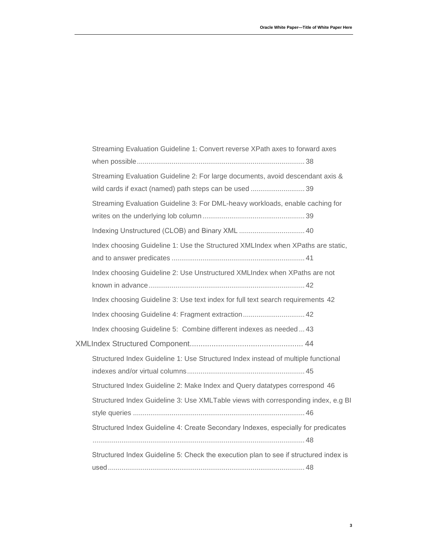| Streaming Evaluation Guideline 1: Convert reverse XPath axes to forward axes         |
|--------------------------------------------------------------------------------------|
|                                                                                      |
| Streaming Evaluation Guideline 2: For large documents, avoid descendant axis &       |
| wild cards if exact (named) path steps can be used  39                               |
| Streaming Evaluation Guideline 3: For DML-heavy workloads, enable caching for        |
|                                                                                      |
|                                                                                      |
| Index choosing Guideline 1: Use the Structured XMLIndex when XPaths are static,      |
|                                                                                      |
| Index choosing Guideline 2: Use Unstructured XMLIndex when XPaths are not            |
|                                                                                      |
| Index choosing Guideline 3: Use text index for full text search requirements 42      |
| Index choosing Guideline 4: Fragment extraction 42                                   |
| Index choosing Guideline 5: Combine different indexes as needed  43                  |
|                                                                                      |
| Structured Index Guideline 1: Use Structured Index instead of multiple functional    |
|                                                                                      |
| Structured Index Guideline 2: Make Index and Query datatypes correspond 46           |
| Structured Index Guideline 3: Use XMLTable views with corresponding index, e.g BI    |
|                                                                                      |
| Structured Index Guideline 4: Create Secondary Indexes, especially for predicates    |
|                                                                                      |
| Structured Index Guideline 5: Check the execution plan to see if structured index is |
|                                                                                      |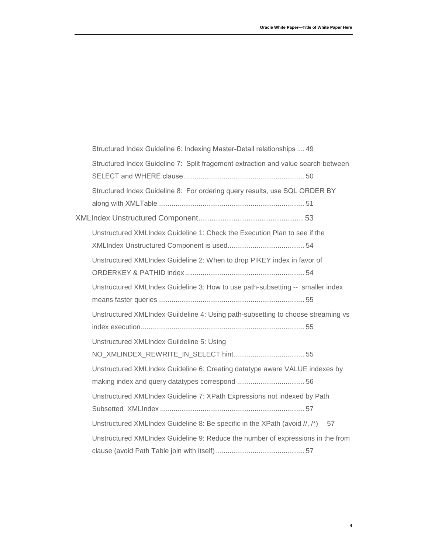| Structured Index Guideline 6: Indexing Master-Detail relationships  49            |
|-----------------------------------------------------------------------------------|
| Structured Index Guideline 7: Split fragement extraction and value search between |
|                                                                                   |
| Structured Index Guideline 8: For ordering query results, use SQL ORDER BY        |
|                                                                                   |
|                                                                                   |
| Unstructured XMLIndex Guideline 1: Check the Execution Plan to see if the         |
|                                                                                   |
| Unstructured XMLIndex Guideline 2: When to drop PIKEY index in favor of           |
|                                                                                   |
| Unstructured XMLIndex Guideline 3: How to use path-subsetting -- smaller index    |
|                                                                                   |
| Unstructured XMLIndex Guildeline 4: Using path-subsetting to choose streaming vs  |
|                                                                                   |
| Unstructured XMLIndex Guildeline 5: Using                                         |
|                                                                                   |
| Unstructured XMLIndex Guideline 6: Creating datatype aware VALUE indexes by       |
|                                                                                   |
| Unstructured XMLIndex Guideline 7: XPath Expressions not indexed by Path          |
|                                                                                   |
| Unstructured XMLIndex Guideline 8: Be specific in the XPath (avoid //, /*) 57     |
| Unstructured XMLIndex Guideline 9: Reduce the number of expressions in the from   |
|                                                                                   |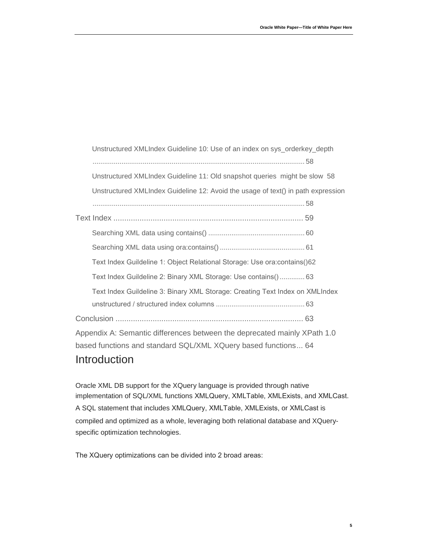[Unstructured XMLIndex Guideline 10: Use of an index on sys\\_orderkey\\_depth](#page-59-0) [..............................................................................................................](#page-59-0) 58 [Unstructured XMLIndex Guideline 11: Old snapshot queries might be slow](#page-59-1) 58 [Unstructured XMLIndex Guideline 12: Avoid the usage of text\(\) in path expression](#page-59-2) [..............................................................................................................](#page-59-2) 58 Text Index [.......................................................................................](#page-60-0) 59 [Searching XML data using contains\(\)](#page-61-0) .................................................. 60 [Searching XML data using ora:contains\(\)](#page-62-0) ............................................ 61 [Text Index Guildeline 1: Object Relational Storage: Use ora:contains\(\)](#page-63-0)62 [Text Index Guildeline 2: Binary XML Storage: Use contains\(\)](#page-64-0)............. 63 [Text Index Guildeline 3: Binary XML Storage: Creating Text Index on XMLIndex](#page-64-1)  [unstructured / structured index columns](#page-64-1) .............................................. 63 Conclusion [......................................................................................](#page-64-2) 63 [Appendix A: Semantic differences between the deprecated mainly XPath 1.0](#page-65-0)  [based functions and standard SQL/XML XQuery based functions...](#page-65-0) 64

# **Introduction**

Oracle XML DB support for the XQuery language is provided through native implementation of SQL/XML functions XMLQuery, XMLTable, XMLExists, and XMLCast. A SQL statement that includes XMLQuery, XMLTable, XMLExists, or XMLCast is compiled and optimized as a whole, leveraging both relational database and XQueryspecific optimization technologies.

The XQuery optimizations can be divided into 2 broad areas: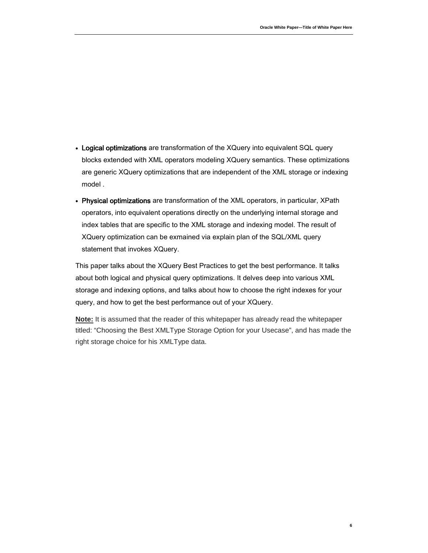- Logical optimizations are transformation of the XQuery into equivalent SQL query blocks extended with XML operators modeling XQuery semantics. These optimizations are generic XQuery optimizations that are independent of the XML storage or indexing model .
- Physical optimizations are transformation of the XML operators, in particular, XPath operators, into equivalent operations directly on the underlying internal storage and index tables that are specific to the XML storage and indexing model. The result of XQuery optimization can be exmained via explain plan of the SQL/XML query statement that invokes XQuery.

This paper talks about the XQuery Best Practices to get the best performance. It talks about both logical and physical query optimizations. It delves deep into various XML storage and indexing options, and talks about how to choose the right indexes for your query, and how to get the best performance out of your XQuery.

**Note:** It is assumed that the reader of this whitepaper has already read the whitepaper titled: "Choosing the Best XMLType Storage Option for your Usecase", and has made the right storage choice for his XMLType data.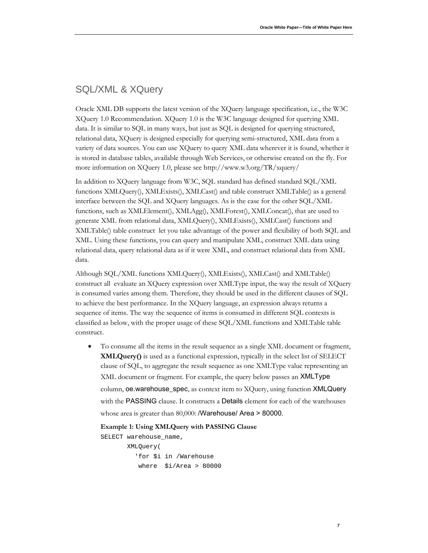### <span id="page-8-0"></span>SQL/XML & XQuery

Oracle XML DB supports the latest version of the XQuery language specification, i.e., the W3C XQuery 1.0 Recommendation. XQuery 1.0 is the W3C language designed for querying XML data. It is similar to SQL in many ways, but just as SQL is designed for querying structured, relational data, XQuery is designed especially for querying semi-structured, XML data from a variety of data sources. You can use XQuery to query XML data wherever it is found, whether it is stored in database tables, available through Web Services, or otherwise created on the fly. For more information on XQuery 1.0, please see http://www.w3.org/TR/xquery/

In addition to XQuery language from W3C, SQL standard has defined standard SQL/XML functions XMLQuery(), XMLExists(), XMLCast() and table construct XMLTable() as a general interface between the SQL and XQuery languages. As is the case for the other SQL/XML functions, such as XMLElement(), XMLAgg(), XMLForest(), XMLConcat(), that are used to generate XML from relational data, XMLQuery(), XMLExists(), XMLCast() functions and XMLTable() table construct let you take advantage of the power and flexibility of both SQL and XML. Using these functions, you can query and manipulate XML, construct XML data using relational data, query relational data as if it were XML, and construct relational data from XML data.

Although SQL/XML functions XMLQuery(), XMLExists(), XMLCast() and XMLTable() construct all evaluate an XQuery expression over XMLType input, the way the result of XQuery is consumed varies among them. Therefore, they should be used in the different clauses of SQL to achieve the best performance. In the XQuery language, an expression always returns a sequence of items. The way the sequence of items is consumed in different SQL contexts is classified as below, with the proper usage of these SQL/XML functions and XMLTable table construct.

• To consume all the items in the result sequence as a single XML document or fragment, **XMLQuery()** is used as a functional expression, typically in the select list of SELECT clause of SQL, to aggregate the result sequence as one XMLType value representing an XML document or fragment. For example, the query below passes an XMLType column, oe.warehouse\_spec, as context item to XQuery, using function XMLQuery with the PASSING clause. It constructs a Details element for each of the warehouses whose area is greater than 80,000: **/Warehouse/ Area > 80000**.

#### **Example 1: Using XMLQuery with PASSING Clause**

SELECT warehouse\_name,

```
 XMLQuery(
   'for $i in /Warehouse 
    where $i/Area > 80000
```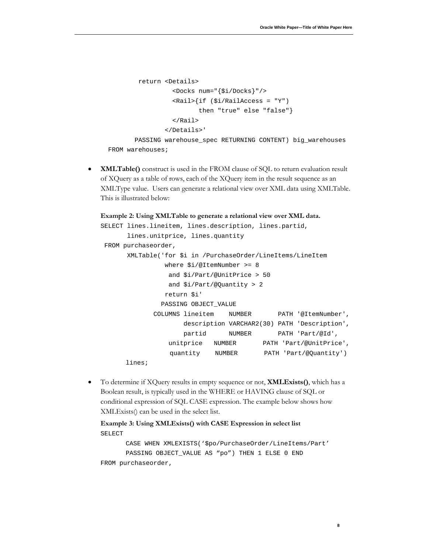```
 return <Details>
                   <Docks num="{$i/Docks}"/>
                   <Rail>{if ($i/RailAccess = "Y") 
                          then "true" else "false"}
                   </Rail>
                 </Details>'
        PASSING warehouse_spec RETURNING CONTENT) big_warehouses
 FROM warehouses;
```
• **XMLTable()** construct is used in the FROM clause of SQL to return evaluation result of XQuery as a table of rows, each of the XQuery item in the result sequence as an XMLType value. Users can generate a relational view over XML data using XMLTable. This is illustrated below:

```
Example 2: Using XMLTable to generate a relational view over XML data.
```

```
SELECT lines.lineitem, lines.description, lines.partid,
       lines.unitprice, lines.quantity
FROM purchaseorder,
       XMLTable('for $i in /PurchaseOrder/LineItems/LineItem
                 where $i/@ItemNumber >= 8
                  and $i/Part/@UnitPrice > 50
                  and $i/Part/@Quantity > 2
                 return $i'
                PASSING OBJECT_VALUE
              COLUMNS lineitem NUMBER PATH '@ItemNumber',
                      description VARCHAR2(30) PATH 'Description',
                     partid NUMBER PATH 'Part/@Id',
                  unitprice NUMBER PATH 'Part/@UnitPrice', 
                  quantity NUMBER PATH 'Part/@Quantity') 
      lines;
```
• To determine if XQuery results in empty sequence or not, **XMLExists()**, which has a Boolean result, is typically used in the WHERE or HAVING clause of SQL or conditional expression of SQL CASE expression. The example below shows how XMLExists() can be used in the select list.

<span id="page-9-0"></span>**Example 3: Using XMLExists() with CASE Expression in select list** SELECT

CASE WHEN XMLEXISTS('\$po/PurchaseOrder/LineItems/Part' PASSING OBJECT\_VALUE AS "po") THEN 1 ELSE 0 END FROM purchaseorder,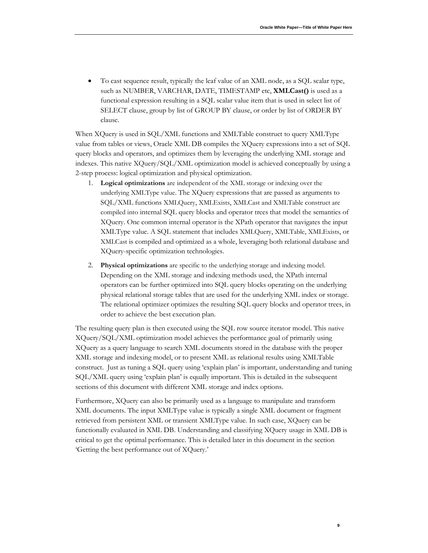**9**

• To cast sequence result, typically the leaf value of an XML node, as a SQL scalar type, such as NUMBER, VARCHAR, DATE, TIMESTAMP etc, **XMLCast()** is used as a functional expression resulting in a SQL scalar value item that is used in select list of SELECT clause, group by list of GROUP BY clause, or order by list of ORDER BY clause.

When XQuery is used in SQL/XML functions and XMLTable construct to query XMLType value from tables or views, Oracle XML DB compiles the XQuery expressions into a set of SQL query blocks and operators, and optimizes them by leveraging the underlying XML storage and indexes. This native XQuery/SQL/XML optimization model is achieved conceptually by using a 2-step process: logical optimization and physical optimization.

- 1. **Logical optimizations** are independent of the XML storage or indexing over the underlying XMLType value. The XQuery expressions that are passed as arguments to SQL/XML functions XMLQuery, XMLExists, XMLCast and XMLTable construct are compiled into internal SQL query blocks and operator trees that model the semantics of XQuery. One common internal operator is the XPath operator that navigates the input XMLType value. A SQL statement that includes XMLQuery, XMLTable, XMLExists, or XMLCast is compiled and optimized as a whole, leveraging both relational database and XQuery-specific optimization technologies.
- 2. **Physical optimizations** are specific to the underlying storage and indexing model. Depending on the XML storage and indexing methods used, the XPath internal operators can be further optimized into SQL query blocks operating on the underlying physical relational storage tables that are used for the underlying XML index or storage. The relational optimizer optimizes the resulting SQL query blocks and operator trees, in order to achieve the best execution plan.

The resulting query plan is then executed using the SQL row source iterator model. This native XQuery/SQL/XML optimization model achieves the performance goal of primarily using XQuery as a query language to search XML documents stored in the database with the proper XML storage and indexing model, or to present XML as relational results using XMLTable construct. Just as tuning a SQL query using 'explain plan' is important, understanding and tuning SQL/XML query using 'explain plan' is equally important. This is detailed in the subsequent sections of this document with different XML storage and index options.

Furthermore, XQuery can also be primarily used as a language to manipulate and transform XML documents. The input XMLType value is typically a single XML document or fragment retrieved from persistent XML or transient XMLType value. In such case, XQuery can be functionally evaluated in XML DB. Understanding and classifying XQuery usage in XML DB is critical to get the optimal performance. This is detailed later in this document in the section 'Getting the best performance out of XQuery.'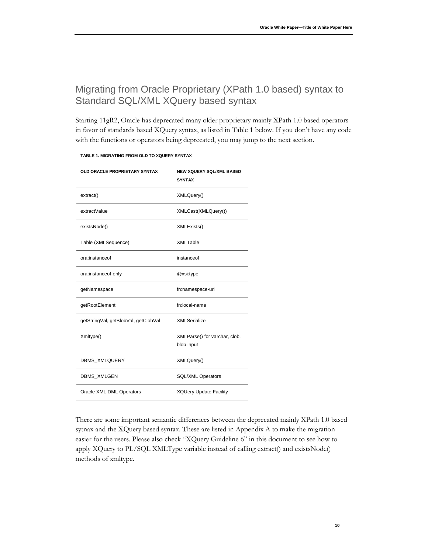# <span id="page-11-0"></span>Migrating from Oracle Proprietary (XPath 1.0 based) syntax to Standard SQL/XML XQuery based syntax

Starting 11gR2, Oracle has deprecated many older proprietary mainly XPath 1.0 based operators in favor of standards based XQuery syntax, as listed in Table 1 below. If you don't have any code with the functions or operators being deprecated, you may jump to the next section.

| OLD ORACLE PROPRIETARY SYNTAX        | <b>NEW XQUERY SQL/XML BASED</b><br><b>SYNTAX</b> |
|--------------------------------------|--------------------------------------------------|
| extract()                            | XMLQuery()                                       |
| extractValue                         | XMLCast(XMLQuery())                              |
| existsNode()                         | XMLExists()                                      |
| Table (XMLSequence)                  | <b>XMLTable</b>                                  |
| ora:instanceof                       | instanceof                                       |
| ora:instanceof-only                  | @xsi:type                                        |
| getNamespace                         | fn:namespace-uri                                 |
| getRootElement                       | fn:local-name                                    |
| getStringVal, getBlobVal, getClobVal | <b>XMLSerialize</b>                              |
| Xmltype()                            | XMLParse() for varchar, clob,<br>blob input      |
| DBMS_XMLQUERY                        | XMLQuery()                                       |
| DBMS_XMLGEN                          | SQL/XML Operators                                |
| Oracle XML DML Operators             | <b>XQUery Update Facility</b>                    |

**TABLE 1. MIGRATING FROM OLD TO XQUERY SYNTAX**

There are some important semantic differences between the deprecated mainly XPath 1.0 based sytnax and the XQuery based syntax. These are listed in Appendix A to make the migration easier for the users. Please also check "XQuery Guideline 6" in this document to see how to apply XQuery to PL/SQL XMLType variable instead of calling extract() and existsNode() methods of xmltype.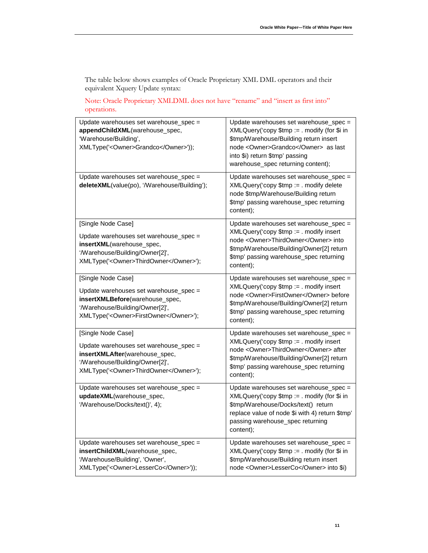The table below shows examples of Oracle Proprietary XML DML operators and their equivalent Xquery Update syntax:

Note: Oracle Proprietary XMLDML does not have "rename" and "insert as first into" operations.

| Update warehouses set warehouse_spec =<br>appendChildXML(warehouse_spec,<br>'Warehouse/Building',<br>XMLType(' <owner>Grandco</owner> '));                                    | Update warehouses set warehouse_spec =<br>XMLQuery('copy \$tmp := . modify (for \$i in<br>\$tmp/Warehouse/Building return insert<br>node <owner>Grandco</owner> as last<br>into \$i) return \$tmp' passing<br>warehouse_spec returning content); |
|-------------------------------------------------------------------------------------------------------------------------------------------------------------------------------|--------------------------------------------------------------------------------------------------------------------------------------------------------------------------------------------------------------------------------------------------|
| Update warehouses set warehouse_spec =<br>deleteXML(value(po), '/Warehouse/Building');                                                                                        | Update warehouses set warehouse_spec =<br>XMLQuery('copy \$tmp := . modify delete<br>node \$tmp/Warehouse/Building return<br>\$tmp' passing warehouse_spec returning<br>content);                                                                |
| [Single Node Case]<br>Update warehouses set warehouse_spec =<br>insertXML(warehouse_spec,<br>'/Warehouse/Building/Owner[2]',<br>XMLType(' <owner>ThirdOwner</owner> ');       | Update warehouses set warehouse_spec =<br>XMLQuery('copy \$tmp := . modify insert<br>node <owner>ThirdOwner</owner> into<br>\$tmp/Warehouse/Building/Owner[2] return<br>\$tmp' passing warehouse_spec returning<br>content);                     |
| [Single Node Case]<br>Update warehouses set warehouse_spec =<br>insertXMLBefore(warehouse_spec,<br>'/Warehouse/Building/Owner[2]',<br>XMLType(' <owner>FirstOwner</owner> '); | Update warehouses set warehouse_spec =<br>XMLQuery('copy \$tmp := . modify insert<br>node <owner>FirstOwner</owner> before<br>\$tmp/Warehouse/Building/Owner[2] return<br>\$tmp' passing warehouse_spec returning<br>content);                   |
| [Single Node Case]<br>Update warehouses set warehouse_spec =<br>insertXMLAfter(warehouse_spec,<br>'/Warehouse/Building/Owner[2]',<br>XMLType(' <owner>ThirdOwner</owner> ');  | Update warehouses set warehouse_spec =<br>XMLQuery('copy \$tmp := . modify insert<br>node < Owner>ThirdOwner after<br>\$tmp/Warehouse/Building/Owner[2] return<br>\$tmp' passing warehouse_spec returning<br>content);                           |
| Update warehouses set warehouse_spec =<br>updateXML(warehouse_spec,<br>'/Warehouse/Docks/text()', 4);                                                                         | Update warehouses set warehouse_spec =<br>XMLQuery('copy \$tmp := . modify (for \$i in<br>\$tmp/Warehouse/Docks/text() return<br>replace value of node \$i with 4) return \$tmp'<br>passing warehouse_spec returning<br>content);                |
| Update warehouses set warehouse_spec =<br>insertChildXML(warehouse_spec,<br>'/Warehouse/Building', 'Owner',<br>XMLType(' <owner>LesserCo</owner> '));                         | Update warehouses set warehouse_spec =<br>XMLQuery('copy \$tmp := . modify (for \$i in<br>\$tmp/Warehouse/Building return insert<br>node <owner>LesserCo</owner> into \$i)                                                                       |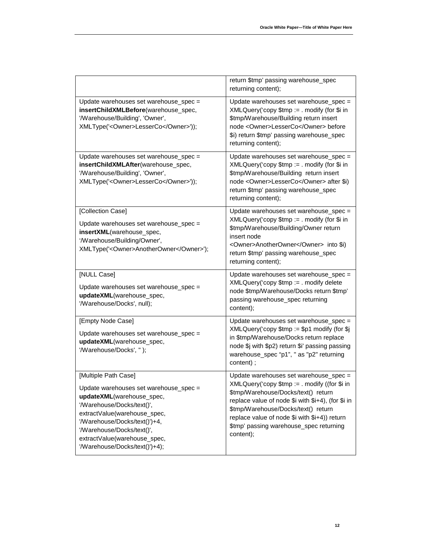|                                                                                                                                                                                                                                                                                            | return \$tmp' passing warehouse_spec<br>returning content);                                                                                                                                                                                                                                                                          |
|--------------------------------------------------------------------------------------------------------------------------------------------------------------------------------------------------------------------------------------------------------------------------------------------|--------------------------------------------------------------------------------------------------------------------------------------------------------------------------------------------------------------------------------------------------------------------------------------------------------------------------------------|
| Update warehouses set warehouse_spec =<br>insertChildXMLBefore(warehouse_spec,<br>'/Warehouse/Building', 'Owner',<br>XMLType(' <owner>LesserCo</owner> '));                                                                                                                                | Update warehouses set warehouse_spec =<br>XMLQuery('copy \$tmp := . modify (for \$i in<br>\$tmp/Warehouse/Building return insert<br>node <owner>LesserCo</owner> before<br>\$i) return \$tmp' passing warehouse_spec<br>returning content);                                                                                          |
| Update warehouses set warehouse_spec =<br>insertChildXMLAfter(warehouse_spec,<br>'/Warehouse/Building', 'Owner',<br>XMLType(' <owner>LesserCo</owner> '));                                                                                                                                 | Update warehouses set warehouse_spec =<br>XMLQuery('copy \$tmp := . modify (for \$i in<br>\$tmp/Warehouse/Building return insert<br>node < Owner>LesserCo after \$i)<br>return \$tmp' passing warehouse_spec<br>returning content);                                                                                                  |
| [Collection Case]<br>Update warehouses set warehouse_spec =<br>insertXML(warehouse_spec,<br>'/Warehouse/Building/Owner',<br>XMLType(' <owner>AnotherOwner</owner> ');                                                                                                                      | Update warehouses set warehouse_spec =<br>XMLQuery('copy \$tmp := . modify (for \$i in<br>\$tmp/Warehouse/Building/Owner return<br>insert node<br><owner>AnotherOwner</owner> into \$i)<br>return \$tmp' passing warehouse_spec<br>returning content);                                                                               |
| [NULL Case]<br>Update warehouses set warehouse_spec =<br>updateXML(warehouse_spec,<br>'/Warehouse/Docks', null);                                                                                                                                                                           | Update warehouses set warehouse_spec =<br>XMLQuery('copy \$tmp := . modify delete<br>node \$tmp/Warehouse/Docks return \$tmp'<br>passing warehouse_spec returning<br>content);                                                                                                                                                       |
| [Empty Node Case]<br>Update warehouses set warehouse_spec =<br>updateXML(warehouse_spec,<br>'/Warehouse/Docks', ");                                                                                                                                                                        | Update warehouses set warehouse_spec =<br>$XMLQuery('copy $tmp := $p1 modify (for $j])$<br>in \$tmp/Warehouse/Docks return replace<br>node \$j with \$p2) return \$i' passing passing<br>warehouse_spec "p1", " as "p2" returning<br>content);                                                                                       |
| [Multiple Path Case]<br>Update warehouses set warehouse_spec =<br>updateXML(warehouse_spec,<br>'/Warehouse/Docks/text()',<br>extractValue(warehouse_spec,<br>'/Warehouse/Docks/text()')+4,<br>'/Warehouse/Docks/text()',<br>extractValue(warehouse_spec,<br>'/Warehouse/Docks/text()')+4); | Update warehouses set warehouse_spec =<br>XMLQuery('copy \$tmp := . modify ((for \$i in<br>\$tmp/Warehouse/Docks/text() return<br>replace value of node \$i with \$i+4), (for \$i in<br>\$tmp/Warehouse/Docks/text() return<br>replace value of node \$i with \$i+4)) return<br>\$tmp' passing warehouse_spec returning<br>content); |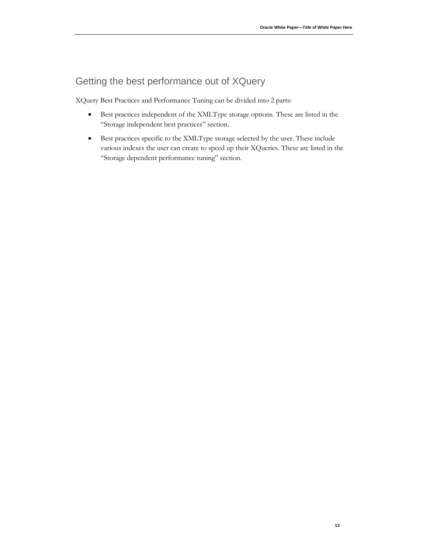# <span id="page-14-0"></span>Getting the best performance out of XQuery

XQuery Best Practices and Performance Tuning can be divided into 2 parts:

- Best practices independent of the XMLType storage options. These are listed in the "Storage independent best practices" section.
- Best practices specific to the XMLType storage selected by the user. These include various indexes the user can create to speed up their XQueries. These are listed in the "Storage dependent performance tuning" section.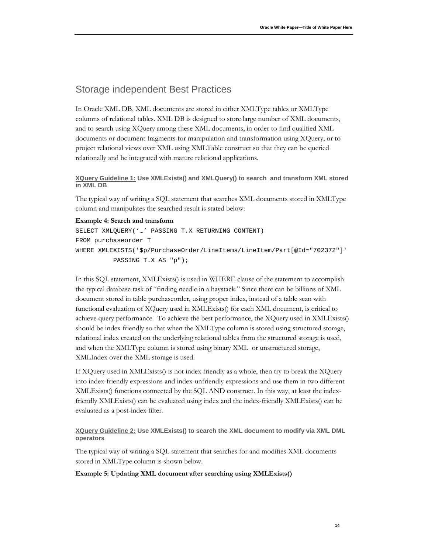### <span id="page-15-0"></span>Storage independent Best Practices

In Oracle XML DB, XML documents are stored in either XMLType tables or XMLType columns of relational tables. XML DB is designed to store large number of XML documents, and to search using XQuery among these XML documents, in order to find qualified XML documents or document fragments for manipulation and transformation using XQuery, or to project relational views over XML using XMLTable construct so that they can be queried relationally and be integrated with mature relational applications.

#### <span id="page-15-1"></span>**XQuery Guideline 1: Use XMLExists() and XMLQuery() to search and transform XML stored in XML DB**

The typical way of writing a SQL statement that searches XML documents stored in XMLType column and manipulates the searched result is stated below:

#### **Example 4: Search and transform**

```
SELECT XMLQUERY('…' PASSING T.X RETURNING CONTENT)
FROM purchaseorder T 
WHERE XMLEXISTS('$p/PurchaseOrder/LineItems/LineItem/Part[@Id="702372"]'
           PASSING T.X AS "p");
```
In this SQL statement, XMLExists() is used in WHERE clause of the statement to accomplish the typical database task of "finding needle in a haystack." Since there can be billions of XML document stored in table purchaseorder, using proper index, instead of a table scan with functional evaluation of XQuery used in XMLExists() for each XML document, is critical to achieve query performance. To achieve the best performance, the XQuery used in XMLExists() should be index friendly so that when the XMLType column is stored using structured storage, relational index created on the underlying relational tables from the structured storage is used, and when the XMLType column is stored using binary XML or unstructured storage, XMLIndex over the XML storage is used.

If XQuery used in XMLExists() is not index friendly as a whole, then try to break the XQuery into index-friendly expressions and index-unfriendly expressions and use them in two different XMLExists() functions connected by the SQL AND construct. In this way, at least the indexfriendly XMLExists() can be evaluated using index and the index-friendly XMLExists() can be evaluated as a post-index filter.

#### <span id="page-15-2"></span>**XQuery Guideline 2: Use XMLExists() to search the XML document to modify via XML DML operators**

The typical way of writing a SQL statement that searches for and modifies XML documents stored in XMLType column is shown below.

#### **Example 5: Updating XML document after searching using XMLExists()**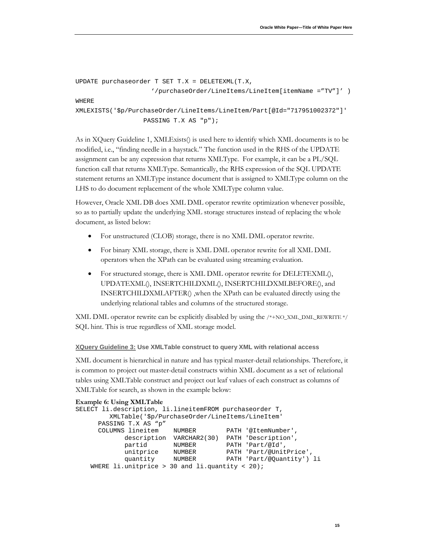```
UPDATE purchaseorder T SET T.X = DELETEXML(T.X, 
                     '/purchaseOrder/LineItems/LineItem[itemName ="TV"]' )
WHERE 
XMLEXISTS('$p/PurchaseOrder/LineItems/LineItem/Part[@Id="717951002372"]'
                   PASSING T.X AS "p");
```
As in XQuery Guideline 1, XMLExists() is used here to identify which XML documents is to be modified, i.e., "finding needle in a haystack." The function used in the RHS of the UPDATE assignment can be any expression that returns XMLType. For example, it can be a PL/SQL function call that returns XMLType. Semantically, the RHS expression of the SQL UPDATE statement returns an XMLType instance document that is assigned to XMLType column on the LHS to do document replacement of the whole XMLType column value.

However, Oracle XML DB does XML DML operator rewrite optimization whenever possible, so as to partially update the underlying XML storage structures instead of replacing the whole document, as listed below:

- For unstructured (CLOB) storage, there is no XML DML operator rewrite.
- For binary XML storage, there is XML DML operator rewrite for all XML DML operators when the XPath can be evaluated using streaming evaluation.
- For structured storage, there is XML DML operator rewrite for DELETEXML(), UPDATEXML(), INSERTCHILDXML(), INSERTCHILDXMLBEFORE(), and INSERTCHILDXMLAFTER() ,when the XPath can be evaluated directly using the underlying relational tables and columns of the structured storage.

XML DML operator rewrite can be explicitly disabled by using the /\*+NO\_XML\_DML\_REWRITE \*/ SQL hint. This is true regardless of XML storage model.

#### <span id="page-16-0"></span>**XQuery Guideline 3: Use XMLTable construct to query XML with relational access**

XML document is hierarchical in nature and has typical master-detail relationships. Therefore, it is common to project out master-detail constructs within XML document as a set of relational tables using XMLTable construct and project out leaf values of each construct as columns of XMLTable for search, as shown in the example below:

```
Example 6: Using XMLTable 
SELECT li.description, li.lineitemFROM purchaseorder T, 
           XMLTable('$p/PurchaseOrder/LineItems/LineItem'
       PASSING T.X AS "p"
       COLUMNS lineitem NUMBER PATH '@ItemNumber',
               description VARCHAR2(30) PATH 'Description',
              partid NUMBER PATH 'Part/@Id',<br>unitprice NUMBER PATH 'Part/@Unit
              unitprice NUMBER PATH 'Part/@UnitPrice',<br>quantity NUMBER PATH 'Part/@Quantity')
                            quantity NUMBER PATH 'Part/@Quantity') li
    WHERE li.unitprice > 30 and li.quantity < 20);
```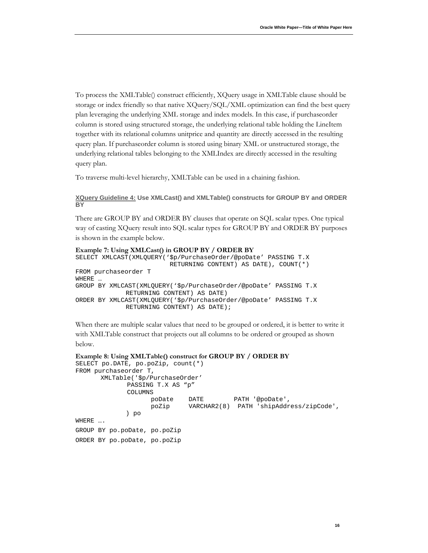To process the XMLTable() construct efficiently, XQuery usage in XMLTable clause should be storage or index friendly so that native XQuery/SQL/XML optimization can find the best query plan leveraging the underlying XML storage and index models. In this case, if purchaseorder column is stored using structured storage, the underlying relational table holding the LineItem together with its relational columns unitprice and quantity are directly accessed in the resulting query plan. If purchaseorder column is stored using binary XML or unstructured storage, the underlying relational tables belonging to the XMLIndex are directly accessed in the resulting query plan.

To traverse multi-level hierarchy, XMLTable can be used in a chaining fashion.

<span id="page-17-0"></span>**XQuery Guideline 4: Use XMLCast() and XMLTable() constructs for GROUP BY and ORDER BY** 

There are GROUP BY and ORDER BY clauses that operate on SQL scalar types. One typical way of casting XQuery result into SQL scalar types for GROUP BY and ORDER BY purposes is shown in the example below.

```
Example 7: Using XMLCast() in GROUP BY / ORDER BY
SELECT XMLCAST(XMLQUERY('$p/PurchaseOrder/@poDate' PASSING T.X 
                          RETURNING CONTENT) AS DATE), COUNT(*)
FROM purchaseorder T 
WHERE …
GROUP BY XMLCAST(XMLQUERY('$p/PurchaseOrder/@poDate' PASSING T.X
             RETURNING CONTENT) AS DATE)
ORDER BY XMLCAST(XMLQUERY('$p/PurchaseOrder/@poDate' PASSING T.X 
             RETURNING CONTENT) AS DATE);
```
When there are multiple scalar values that need to be grouped or ordered, it is better to write it with XMLTable construct that projects out all columns to be ordered or grouped as shown below.

```
Example 8: Using XMLTable() construct for GROUP BY / ORDER BY
SELECT po.DATE, po.poZip, count(*)
FROM purchaseorder T, 
      XMLTable('$p/PurchaseOrder'
              PASSING T.X AS "p"
              COLUMNS 
                    poDate DATE PATH '@poDate',
                            VARCHAR2(8) PATH 'shipAddress/zipCode',
              ) po
WHERE ….
GROUP BY po.poDate, po.poZip
ORDER BY po.poDate, po.poZip
```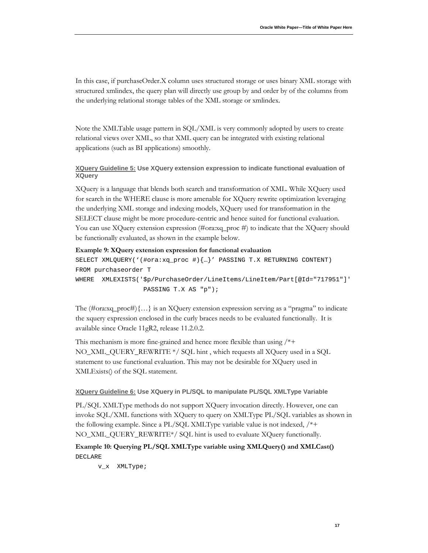In this case, if purchaseOrder.X column uses structured storage or uses binary XML storage with structured xmlindex, the query plan will directly use group by and order by of the columns from the underlying relational storage tables of the XML storage or xmlindex.

Note the XMLTable usage pattern in SQL/XML is very commonly adopted by users to create relational views over XML, so that XML query can be integrated with existing relational applications (such as BI applications) smoothly.

#### <span id="page-18-0"></span>**XQuery Guideline 5: Use XQuery extension expression to indicate functional evaluation of XQuery**

XQuery is a language that blends both search and transformation of XML. While XQuery used for search in the WHERE clause is more amenable for XQuery rewrite optimization leveraging the underlying XML storage and indexing models, XQuery used for transformation in the SELECT clause might be more procedure-centric and hence suited for functional evaluation. You can use XQuery extension expression (#ora:xq\_proc #) to indicate that the XQuery should be functionally evaluated, as shown in the example below.

#### **Example 9: XQuery extension expression for functional evaluation**

```
SELECT XMLQUERY('(#ora:xq_proc #){…}' PASSING T.X RETURNING CONTENT)
FROM purchaseorder T 
WHERE XMLEXISTS('$p/PurchaseOrder/LineItems/LineItem/Part[@Id="717951"]'
                   PASSING T.X AS "p");
```
The  $(\text{\#ora:xq\_proc#}{\ldots})$  is an XQuery extension expression serving as a "pragma" to indicate the xquery expression enclosed in the curly braces needs to be evaluated functionally. It is available since Oracle 11gR2, release 11.2.0.2.

This mechanism is more fine-grained and hence more flexible than using /\*+ NO\_XML\_QUERY\_REWRITE \*/ SQL hint , which requests all XQuery used in a SQL statement to use functional evaluation. This may not be desirable for XQuery used in XMLExists() of the SQL statement.

#### <span id="page-18-1"></span>**XQuery Guideline 6: Use XQuery in PL/SQL to manipulate PL/SQL XMLType Variable**

PL/SQL XMLType methods do not support XQuery invocation directly. However, one can invoke SQL/XML functions with XQuery to query on XMLType PL/SQL variables as shown in the following example. Since a PL/SQL XMLType variable value is not indexed, /\*+ NO\_XML\_QUERY\_REWRITE\*/ SQL hint is used to evaluate XQuery functionally.

### **Example 10: Querying PL/SQL XMLType variable using XMLQuery() and XMLCast()** DECLARE

v\_x XMLType;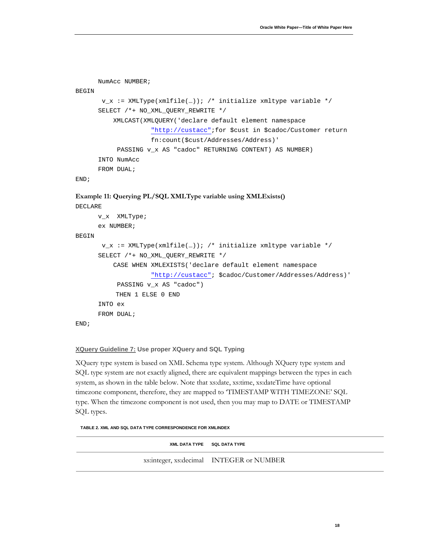```
 NumAcc NUMBER;
BEGIN
       v_x := XMLType(xmlfile(...)); /* initialize xmltype variable */
       SELECT /*+ NO_XML_QUERY_REWRITE */ 
           XMLCAST(XMLQUERY('declare default element namespace 
                     "http://custacc";for $cust in $cadoc/Customer return 
                     fn:count($cust/Addresses/Address)' 
            PASSING v_x AS "cadoc" RETURNING CONTENT) AS NUMBER) 
       INTO NumAcc 
      FROM DUAL;
```

```
END;
```
#### **Example 11: Querying PL/SQL XMLType variable using XMLExists()**

```
DECLARE
```

```
 v_x XMLType;
      ex NUMBER;
BEGIN
       v_x := XMLType(xmlfile(...)); /* initialize xmltype variable */
       SELECT /*+ NO_XML_QUERY_REWRITE */ 
           CASE WHEN XMLEXISTS('declare default element namespace 
                     "http://custacc"; $cadoc/Customer/Addresses/Address)' 
            PASSING v_x AS "cadoc") 
            THEN 1 ELSE 0 END
       INTO ex 
       FROM DUAL;
END;
```
#### <span id="page-19-0"></span>**XQuery Guideline 7: Use proper XQuery and SQL Typing**

XQuery type system is based on XML Schema type system. Although XQuery type system and SQL type system are not exactly aligned, there are equivalent mappings between the types in each system, as shown in the table below. Note that xs:date, xs:time, xs:dateTime have optional timezone component, therefore, they are mapped to 'TIMESTAMP WITH TIMEZONE' SQL type. When the timezone component is not used, then you may map to DATE or TIMESTAMP SQL types.

**TABLE 2. XML AND SQL DATA TYPE CORRESPONDENCE FOR XMLINDEX**

| XML DATA TYPE SQL DATA TYPE              |
|------------------------------------------|
| xs:integer, xs:decimal INTEGER or NUMBER |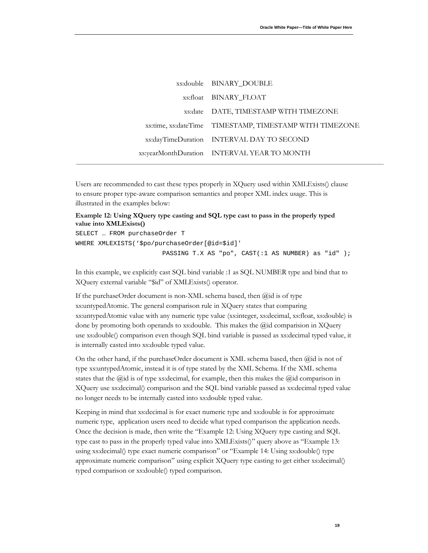| xs:double BINARY DOUBLE                                 |
|---------------------------------------------------------|
| xs:float BINARY FLOAT                                   |
| xs:date DATE, TIMESTAMP WITH TIMEZONE                   |
| xs:time, xs:dateTime TIMESTAMP, TIMESTAMP WITH TIMEZONE |
| xs:dayTimeDuration INTERVAL DAY TO SECOND               |
| xs:yearMonthDuration INTERVAL YEAR TO MONTH             |
|                                                         |

Users are recommended to cast these types properly in XQuery used within XMLExists() clause to ensure proper type-aware comparison semantics and proper XML index usage. This is illustrated in the examples below:

#### <span id="page-20-0"></span>**Example 12: Using XQuery type casting and SQL type cast to pass in the properly typed value into XMLExists()**

SELECT … FROM purchaseOrder T WHERE XMLEXISTS('\$po/purchaseOrder[@id=\$id]' PASSING T.X AS "po", CAST(:1 AS NUMBER) as "id" );

In this example, we explicitly cast SQL bind variable :1 as SQL NUMBER type and bind that to XQuery external variable "\$id" of XMLExists() operator.

If the purchaseOrder document is non-XML schema based, then @id is of type xs:untypedAtomic. The general comparison rule in XQuery states that comparing xs:untypedAtomic value with any numeric type value (xs:integer, xs:decimal, xs:float, xs:double) is done by promoting both operands to xs:double. This makes the @id comparision in XQuery use xs:double() comparison even though SQL bind variable is passed as xs:decimal typed value, it is internally casted into xs:double typed value.

On the other hand, if the purchaseOrder document is XML schema based, then @id is not of type xs:untypedAtomic, instead it is of type stated by the XML Schema. If the XML schema states that the  $\ddot{\omega}$  is of type xs:decimal, for example, then this makes the  $\ddot{\omega}$  comparison in XQuery use xs:decimal() comparison and the SQL bind variable passed as xs:decimal typed value no longer needs to be internally casted into xs:double typed value.

Keeping in mind that xs:decimal is for exact numeric type and xs:double is for approximate numeric type, application users need to decide what typed comparison the application needs. Once the decision is made, then write the ["Example 12: Using XQuery type casting and SQL](#page-20-0)  [type cast to pass in the properly typed value into XMLExists\(\)"](#page-20-0) query above as ["Example 13:](#page-21-0)  [using xs:decimal\(\) type exact numeric comparison"](#page-21-0) or ["Example 14: Using xs:double\(\) type](#page-21-1)  [approximate numeric comparison"](#page-21-1) using explicit XQuery type casting to get either xs:decimal() typed comparison or xs:double() typed comparison.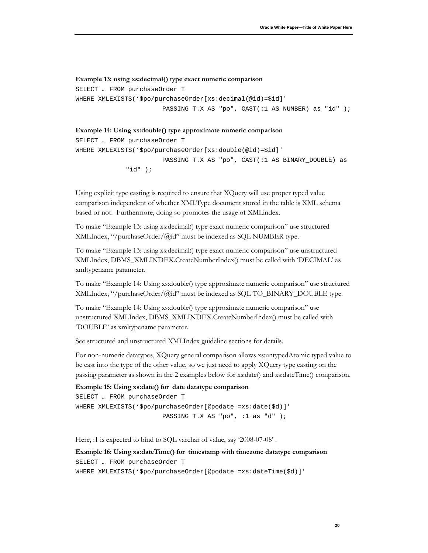#### <span id="page-21-0"></span>**Example 13: using xs:decimal() type exact numeric comparison**

```
SELECT … FROM purchaseOrder T 
WHERE XMLEXISTS('$po/purchaseOrder[xs:decimal(@id)=$id]'
                       PASSING T.X AS "po", CAST(:1 AS NUMBER) as "id" );
```
#### <span id="page-21-1"></span>**Example 14: Using xs:double() type approximate numeric comparison**

```
SELECT … FROM purchaseOrder T 
WHERE XMLEXISTS('$po/purchaseOrder[xs:double(@id)=$id]'
                        PASSING T.X AS "po", CAST(:1 AS BINARY_DOUBLE) as 
              "id" );
```
Using explicit type casting is required to ensure that XQuery will use proper typed value comparison independent of whether XMLType document stored in the table is XML schema based or not. Furthermore, doing so promotes the usage of XMLindex.

To make ["Example 13: using xs:decimal\(\) type exact numeric comparison"](#page-21-0) use structured XMLIndex, "/purchaseOrder/@id" must be indexed as SQL NUMBER type.

To make ["Example 13: using xs:decimal\(\) type exact numeric comparison"](#page-21-0) use unstructured XMLIndex, DBMS\_XMLINDEX.CreateNumberIndex() must be called with 'DECIMAL' as xmltypename parameter.

To make ["Example 14: Using xs:double\(\) type approximate numeric comparison"](#page-21-1) use structured XMLIndex, "/purchaseOrder/@id" must be indexed as SQL TO\_BINARY\_DOUBLE type.

To make "Example 14: Using [xs:double\(\) type approximate numeric comparison"](#page-21-1) use unstructured XMLIndex, DBMS\_XMLINDEX.CreateNumberIndex() must be called with 'DOUBLE' as xmltypename parameter.

See structured and unstructured XMLIndex guideline sections for details.

For non-numeric datatypes, XQuery general comparison allows xs:untypedAtomic typed value to be cast into the type of the other value, so we just need to apply XQuery type casting on the passing parameter as shown in the 2 examples below for xs:date() and xs:dateTime() comparison.

```
Example 15: Using xs:date() for date datatype comparison
SELECT … FROM purchaseOrder T
WHERE XMLEXISTS('$po/purchaseOrder[@podate =xs:date($d)]'
                          PASSING T.X AS "po", :1 as "d" );
```
Here, :1 is expected to bind to SQL varchar of value, say '2008-07-08' .

**Example 16: Using xs:dateTime() for timestamp with timezone datatype comparison** SELECT … FROM purchaseOrder T WHERE XMLEXISTS('\$po/purchaseOrder[@podate =xs:dateTime(\$d)]'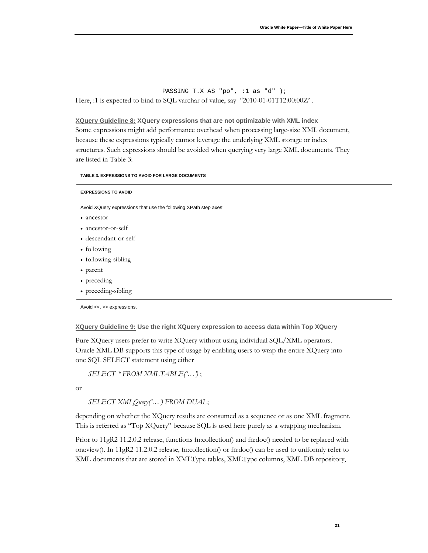PASSING T.X AS "po", :1 as "d" ); Here, :1 is expected to bind to SQL varchar of value, say  $"2010-01-01T12:00:00Z'$  .

<span id="page-22-0"></span><u>XQuery Guideline 8:</u> XQuery expressions that are not optimizable with XML index Some expressions might add performance overhead when processing large-size XML document, because these expressions typically cannot leverage the underlying XML storage or index structures. Such expressions should be avoided when querying very large XML documents. They are listed in Table 3:

#### **TABLE 3. EXPRESSIONS TO AVOID FOR LARGE DOCUMENTS**

| <b>EXPRESSIONS TO AVOID</b>                                      |
|------------------------------------------------------------------|
| Avoid XQuery expressions that use the following XPath step axes: |
| • ancestor                                                       |
| • ancestor-or-self                                               |
| • descendant-or-self                                             |
| • following                                                      |
| • following-sibling                                              |
| • parent                                                         |
| • preceding                                                      |
| • preceding-sibling                                              |
| Avoid <<, >> expressions.                                        |

<span id="page-22-1"></span>**XQuery Guideline 9: Use the right XQuery expression to access data within Top XQuery**

Pure XQuery users prefer to write XQuery without using individual SQL/XML operators. Oracle XML DB supports this type of usage by enabling users to wrap the entire XQuery into one SQL SELECT statement using either

*SELECT \* FROM XMLTABLE('…')* ;

or

*SELECT XMLQuery('…') FROM DUAL*;

depending on whether the XQuery results are consumed as a sequence or as one XML fragment. This is referred as "Top XQuery" because SQL is used here purely as a wrapping mechanism.

Prior to 11gR2 11.2.0.2 release, functions fn:collection() and fn:doc() needed to be replaced with ora:view(). In 11gR2 11.2.0.2 release, fn:collection() or fn:doc() can be used to uniformly refer to XML documents that are stored in XMLType tables, XMLType columns, XML DB repository,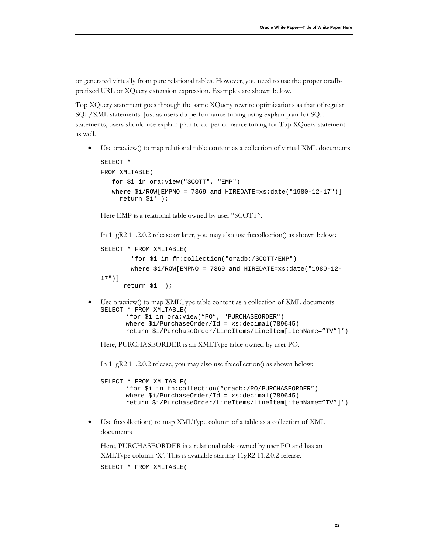or generated virtually from pure relational tables. However, you need to use the proper oradbprefixed URL or XQuery extension expression. Examples are shown below.

Top XQuery statement goes through the same XQuery rewrite optimizations as that of regular SQL/XML statements. Just as users do performance tuning using explain plan for SQL statements, users should use explain plan to do performance tuning for Top XQuery statement as well.

• Use ora:view() to map relational table content as a collection of virtual XML documents

```
SELECT * 
FROM XMLTABLE(
   'for $i in ora:view("SCOTT", "EMP")
   where $i/ROW[EMPNO = 7369] and HIREDATE=xs:date('1980-12-17")] return $i' );
```
Here EMP is a relational table owned by user "SCOTT".

In 11gR2 11.2.0.2 release or later, you may also use fn:collection() as shown below:

```
SELECT * FROM XMLTABLE(
         'for $i in fn:collection("oradb:/SCOTT/EMP")
         where $i/ROW[EMPNO = 7369 and HIREDATE=xs:date("1980-12-
17")]
       return $i' );
```
• Use ora:view() to map XMLType table content as a collection of XML documents SELECT \* FROM XMLTABLE( 'for \$i in ora:view("PO", "PURCHASEORDER") where  $$i/PurchaseOrder/Id = xs:decimal(789645)$ 

return \$i/PurchaseOrder/LineItems/LineItem[itemName="TV"]')

Here, PURCHASEORDER is an XMLType table owned by user PO.

In 11gR2 11.2.0.2 release, you may also use fn:collection() as shown below:

SELECT \* FROM XMLTABLE( 'for \$i in fn:collection("oradb:/PO/PURCHASEORDER") where  $$i/PurchaseOrder/Id = xs:decimal(789645)$ return \$i/PurchaseOrder/LineItems/LineItem[itemName="TV"]')

• Use fn:collection() to map XMLType column of a table as a collection of XML documents

```
Here, PURCHASEORDER is a relational table owned by user PO and has an 
XMLType column 'X'. This is available starting 11gR2 11.2.0.2 release.
SELECT * FROM XMLTABLE(
```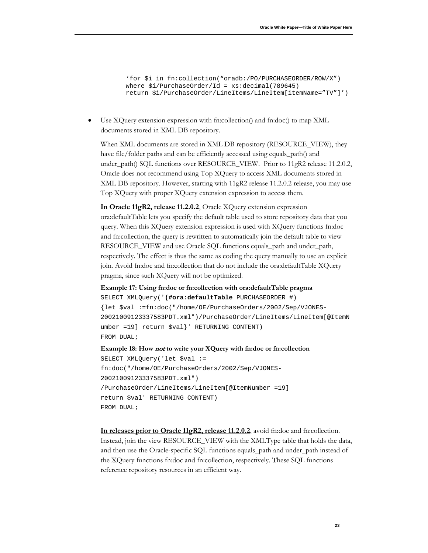```
'for $i in fn:collection("oradb:/PO/PURCHASEORDER/ROW/X") 
where $i/PurchaseOrder/Id = xs:decimal(789645)return $i/PurchaseOrder/LineItems/LineItem[itemName="TV"]')
```
• Use XQuery extension expression with fn:collection() and fn:doc() to map XML documents stored in XML DB repository.

When XML documents are stored in XML DB repository (RESOURCE\_VIEW), they have file/folder paths and can be efficiently accessed using equals\_path() and under\_path() SQL functions over RESOURCE\_VIEW. Prior to 11gR2 release 11.2.0.2, Oracle does not recommend using Top XQuery to access XML documents stored in XML DB repository. However, starting with 11gR2 release 11.2.0.2 release, you may use Top XQuery with proper XQuery extension expression to access them.

**In Oracle 11gR2, release 11.2.0.2** , Oracle XQuery extension expression ora:defaultTable lets you specify the default table used to store repository data that you query. When this XQuery extension expression is used with XQuery functions fn:doc and fn:collection, the query is rewritten to automatically join the default table to view RESOURCE\_VIEW and use Oracle SQL functions equals\_path and under\_path, respectively. The effect is thus the same as coding the query manually to use an explicit join. Avoid fn:doc and fn:collection that do not include the ora:defaultTable XQuery pragma, since such XQuery will not be optimized.

**Example 17: Using fn:doc or fn:collection with ora:defaultTable pragma** SELECT XMLQuery('**(#ora:defaultTable** PURCHASEORDER #)

```
{let $val :=fn:doc("/home/OE/PurchaseOrders/2002/Sep/VJONES-
20021009123337583PDT.xml")/PurchaseOrder/LineItems/LineItem[@ItemN
umber =19] return $val}' RETURNING CONTENT) 
FROM DUAL;
```
**Example 18: How** not **to write your XQuery with fn:doc or fn:collection** SELECT XMLQuery('let \$val := fn:doc("/home/OE/PurchaseOrders/2002/Sep/VJONES-20021009123337583PDT.xml") /PurchaseOrder/LineItems/LineItem[@ItemNumber =19] return \$val' RETURNING CONTENT) FROM DUAL;

**In releases prior to Oracle 11gR2, release 11.2.0.2**, avoid fn:doc and fn:collection. Instead, join the view RESOURCE\_VIEW with the XMLType table that holds the data, and then use the Oracle-specific SQL functions equals\_path and under\_path instead of the XQuery functions fn:doc and fn:collection, respectively. These SQL functions reference repository resources in an efficient way.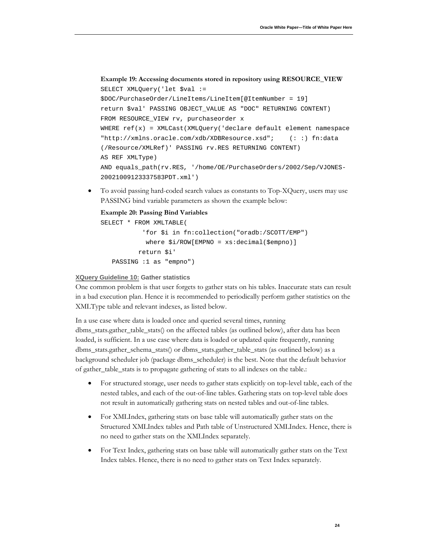```
Example 19: Accessing documents stored in repository using RESOURCE_VIEW
```

```
SELECT XMLQuery('let $val := 
$DOC/PurchaseOrder/LineItems/LineItem[@ItemNumber = 19] 
return $val' PASSING OBJECT_VALUE AS "DOC" RETURNING CONTENT)
FROM RESOURCE_VIEW rv, purchaseorder x
WHERE ref(x) = XMLCastException(XMLQuery(' declare default element namespace)"http://xmlns.oracle.com/xdb/XDBResource.xsd"; (: :) fn:data 
(/Resource/XMLRef)' PASSING rv.RES RETURNING CONTENT) 
AS REF XMLType)
AND equals_path(rv.RES, '/home/OE/PurchaseOrders/2002/Sep/VJONES-
20021009123337583PDT.xml')
```
• To avoid passing hard-coded search values as constants to Top-XQuery, users may use PASSING bind variable parameters as shown the example below:

#### **Example 20: Passing Bind Variables**

```
SELECT * FROM XMLTABLE(
            'for $i in fn:collection("oradb:/SCOTT/EMP")
             where $i/ROW[EMPNO = xs:decimal($empno)]
           return $i'
    PASSING :1 as "empno")
```
#### <span id="page-25-0"></span>**XQuery Guideline 10: Gather statistics**

One common problem is that user forgets to gather stats on his tables. Inaccurate stats can result in a bad execution plan. Hence it is recommended to periodically perform gather statistics on the XMLType table and relevant indexes, as listed below.

In a use case where data is loaded once and queried several times, running

dbms\_stats.gather\_table\_stats() on the affected tables (as outlined below), after data has been loaded, is sufficient. In a use case where data is loaded or updated quite frequently, running dbms\_stats.gather\_schema\_stats() or dbms\_stats.gather\_table\_stats (as outlined below) as a background scheduler job (package dbms\_scheduler) is the best. Note that the default behavior of gather\_table\_stats is to propagate gathering of stats to all indexes on the table.:

- For structured storage, user needs to gather stats explicitly on top-level table, each of the nested tables, and each of the out-of-line tables. Gathering stats on top-level table does not result in automatically gathering stats on nested tables and out-of-line tables.
- For XMLIndex, gathering stats on base table will automatically gather stats on the Structured XMLIndex tables and Path table of Unstructured XMLIndex. Hence, there is no need to gather stats on the XMLIndex separately.
- For Text Index, gathering stats on base table will automatically gather stats on the Text Index tables. Hence, there is no need to gather stats on Text Index separately.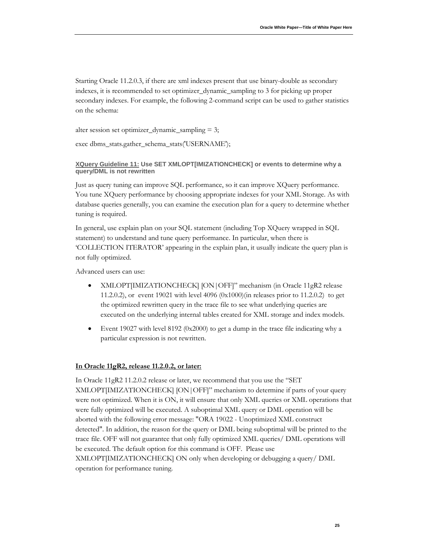Starting Oracle 11.2.0.3, if there are xml indexes present that use binary-double as secondary indexes, it is recommended to set optimizer\_dynamic\_sampling to 3 for picking up proper secondary indexes. For example, the following 2-command script can be used to gather statistics on the schema:

alter session set optimizer\_dynamic\_sampling = 3;

exec dbms\_stats.gather\_schema\_stats('USERNAME');

#### <span id="page-26-0"></span>**XQuery Guideline 11: Use SET XMLOPT[IMIZATIONCHECK] or events to determine why a query/DML is not rewritten**

Just as query tuning can improve SQL performance, so it can improve XQuery performance. You tune XQuery performance by choosing appropriate indexes for your XML Storage. As with database queries generally, you can examine the execution plan for a query to determine whether tuning is required.

In general, use explain plan on your SQL statement (including Top XQuery wrapped in SQL statement) to understand and tune query performance. In particular, when there is 'COLLECTION ITERATOR' appearing in the explain plan, it usually indicate the query plan is not fully optimized.

Advanced users can use:

- XMLOPT[IMIZATIONCHECK] [ON|OFF]" mechanism (in Oracle 11gR2 release 11.2.0.2), or event 19021 with level 4096 (0x1000)(in releases prior to 11.2.0.2) to get the optimized rewritten query in the trace file to see what underlying queries are executed on the underlying internal tables created for XML storage and index models.
- Event 19027 with level 8192 (0x2000) to get a dump in the trace file indicating why a particular expression is not rewritten.

#### **In Oracle 11gR2, release 11.2.0.2, or later:**

In Oracle 11gR2 11.2.0.2 release or later, we recommend that you use the "SET XMLOPT[IMIZATIONCHECK] [ON|OFF]" mechanism to determine if parts of your query were not optimized. When it is ON, it will ensure that only XML queries or XML operations that were fully optimized will be executed. A suboptimal XML query or DML operation will be aborted with the following error message: "ORA 19022 - Unoptimized XML construct detected". In addition, the reason for the query or DML being suboptimal will be printed to the trace file. OFF will not guarantee that only fully optimized XML queries/ DML operations will be executed. The default option for this command is OFF. Please use XMLOPT[IMIZATIONCHECK] ON only when developing or debugging a query/ DML operation for performance tuning.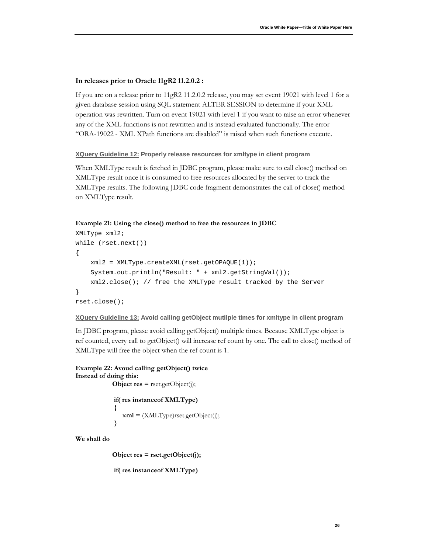#### **In releases prior to Oracle 11gR2 11.2.0.2 :**

If you are on a release prior to 11gR2 11.2.0.2 release, you may set event 19021 with level 1 for a given database session using SQL statement ALTER SESSION to determine if your XML operation was rewritten. Turn on event 19021 with level 1 if you want to raise an error whenever any of the XML functions is not rewritten and is instead evaluated functionally. The error "ORA-19022 - XML XPath functions are disabled" is raised when such functions execute.

<span id="page-27-0"></span>**XQuery Guideline 12: Properly release resources for xmltype in client program**

When XMLType result is fetched in JDBC program, please make sure to call close() method on XMLType result once it is consumed to free resources allocated by the server to track the XMLType results. The following JDBC code fragment demonstrates the call of close() method on XMLType result.

#### **Example 21: Using the close() method to free the resources in JDBC**

```
XMLType xml2;
while (rset.next())
{
     xml2 = XMLType.createXML(rset.getOPAQUE(1));
     System.out.println("Result: " + xml2.getStringVal());
     xml2.close(); // free the XMLType result tracked by the Server
}
rset.close();
```
<span id="page-27-1"></span>**XQuery Guideline 13: Avoid calling getObject mutilple times for xmltype in client program**

In JDBC program, please avoid calling getObject() multiple times. Because XMLType object is ref counted, every call to getObject() will increase ref count by one. The call to close() method of XMLType will free the object when the ref count is 1.

```
Example 22: Avoud calling getObject() twice
Instead of doing this:
            Object res = rset.getObject(j);
            if( res instanceof XMLType)
 {
               xml = (XMLType)rset.getObject(j);
 }
```
**We shall do**

 **Object res = rset.getObject(j);**

```
 if( res instanceof XMLType)
```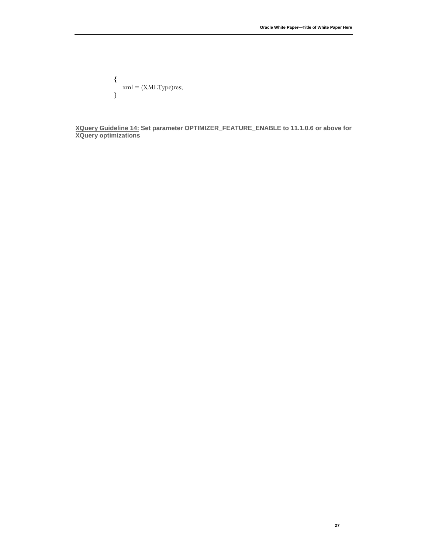$$
\{ \begin{aligned} \text{xml} &= (\text{XMLType}) \text{res}; \\ \} \end{aligned}
$$

<span id="page-28-0"></span>**XQuery Guideline 14: Set parameter OPTIMIZER\_FEATURE\_ENABLE to 11.1.0.6 or above for XQuery optimizations**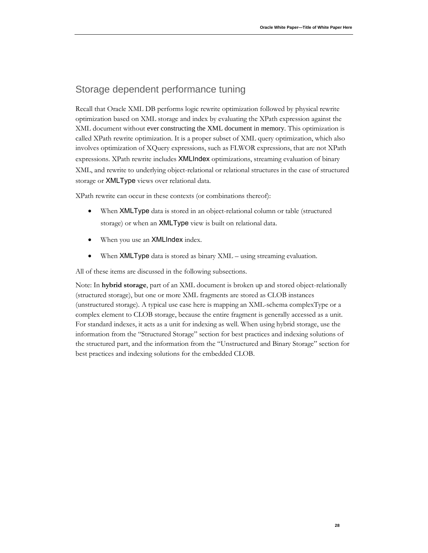### <span id="page-29-0"></span>Storage dependent performance tuning

Recall that Oracle XML DB performs logic rewrite optimization followed by physical rewrite optimization based on XML storage and index by evaluating the XPath expression against the XML document without ever constructing the XML document in memory. This optimization is called XPath rewrite optimization. It is a proper subset of XML query optimization, which also involves optimization of XQuery expressions, such as FLWOR expressions, that are not XPath expressions. XPath rewrite includes XMLIndex optimizations, streaming evaluation of binary XML, and rewrite to underlying object-relational or relational structures in the case of structured storage or XMLType views over relational data.

XPath rewrite can occur in these contexts (or combinations thereof):

- When **XMLType** data is stored in an object-relational column or table (structured storage) or when an XMLType view is built on relational data.
- When you use an **XMLIndex** index.
- When XMLType data is stored as binary XML using streaming evaluation.

All of these items are discussed in the following subsections.

Note: In **hybrid storage**, part of an XML document is broken up and stored object-relationally (structured storage), but one or more XML fragments are stored as CLOB instances (unstructured storage). A typical use case here is mapping an XML-schema complexType or a complex element to CLOB storage, because the entire fragment is generally accessed as a unit. For standard indexes, it acts as a unit for indexing as well. When using hybrid storage, use the information from the "Structured Storage" section for best practices and indexing solutions of the structured part, and the information from the "Unstructured and Binary Storage" section for best practices and indexing solutions for the embedded CLOB.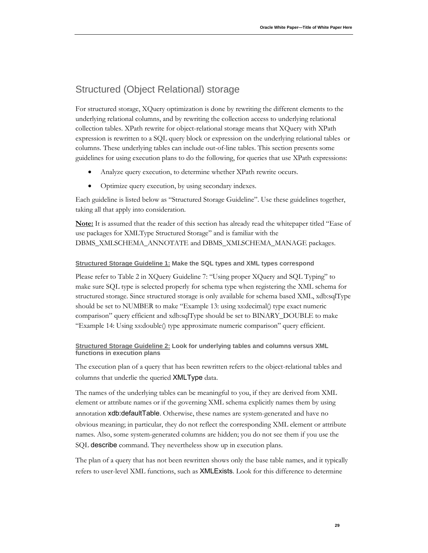# <span id="page-30-0"></span>Structured (Object Relational) storage

For structured storage, XQuery optimization is done by rewriting the different elements to the underlying relational columns, and by rewriting the collection access to underlying relational collection tables. XPath rewrite for object-relational storage means that XQuery with XPath expression is rewritten to a SQL query block or expression on the underlying relational tables or columns. These underlying tables can include out-of-line tables. This section presents some guidelines for using execution plans to do the following, for queries that use XPath expressions:

- Analyze query execution, to determine whether XPath rewrite occurs.
- Optimize query execution, by using secondary indexes.

Each guideline is listed below as "Structured Storage Guideline". Use these guidelines together, taking all that apply into consideration.

**Note:** It is assumed that the reader of this section has already read the whitepaper titled "Ease of use packages for XMLType Structured Storage" and is familiar with the DBMS\_XMLSCHEMA\_ANNOTATE and DBMS\_XMLSCHEMA\_MANAGE packages.

#### <span id="page-30-1"></span>**Structured Storage Guideline 1: Make the SQL types and XML types correspond**

Please refer to Table 2 in XQuery Guideline 7: "Using proper XQuery and SQL Typing" to make sure SQL type is selected properly for schema type when registering the XML schema for structured storage. Since structured storage is only available for schema based XML, xdb:sqlType should be set to NUMBER to make "Example 13: using xs:decimal() type exact numeric [comparison"](#page-21-0) query efficient and xdb:sqlType should be set to BINARY\_DOUBLE to make ["Example 14: Using xs:double\(\) type approximate numeric comparison"](#page-21-1) query efficient.

#### <span id="page-30-2"></span>**Structured Storage Guideline 2: Look for underlying tables and columns versus XML functions in execution plans**

The execution plan of a query that has been rewritten refers to the object-relational tables and columns that underlie the queried XMLType data.

The names of the underlying tables can be meaningful to you, if they are derived from XML element or attribute names or if the governing XML schema explicitly names them by using annotation xdb:defaultTable. Otherwise, these names are system-generated and have no obvious meaning; in particular, they do not reflect the corresponding XML element or attribute names. Also, some system-generated columns are hidden; you do not see them if you use the SQL describe command. They nevertheless show up in execution plans.

The plan of a query that has not been rewritten shows only the base table names, and it typically refers to user-level XML functions, such as XMLExists. Look for this difference to determine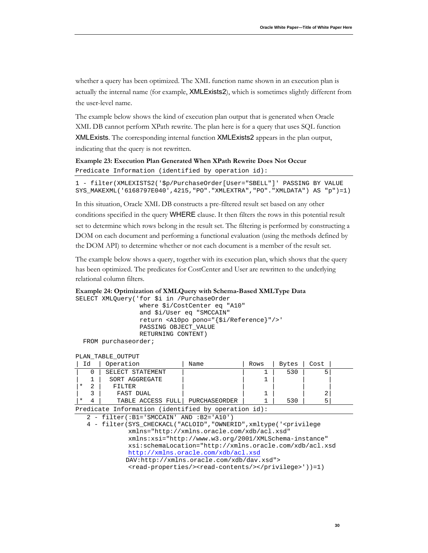whether a query has been optimized. The XML function name shown in an execution plan is actually the internal name (for example, XMLExists2), which is sometimes slightly different from the user-level name.

The example below shows the kind of execution plan output that is generated when Oracle XML DB cannot perform XPath rewrite. The plan here is for a query that uses SQL function XMLExists. The corresponding internal function XMLExists2 appears in the plan output, indicating that the query is not rewritten.

**Example 23: Execution Plan Generated When XPath Rewrite Does Not Occur** Predicate Information (identified by operation id):

1 - filter(XMLEXISTS2('\$p/PurchaseOrder[User="SBELL"]' PASSING BY VALUE SYS\_MAKEXML('6168797E040',4215,"PO"."XMLEXTRA","PO"."XMLDATA") AS "p")=1)

In this situation, Oracle XML DB constructs a pre-filtered result set based on any other conditions specified in the query WHERE clause. It then filters the rows in this potential result set to determine which rows belong in the result set. The filtering is performed by constructing a DOM on each document and performing a functional evaluation (using the methods defined by the DOM API) to determine whether or not each document is a member of the result set.

The example below shows a query, together with its execution plan, which shows that the query has been optimized. The predicates for CostCenter and User are rewritten to the underlying relational column filters.

```
Example 24: Optimization of XMLQuery with Schema-Based XMLType Data
```
SELECT XMLQuery('for \$i in /PurchaseOrder where \$i/CostCenter eq "A10" and \$i/User eq "SMCCAIN" return <A10po pono="{\$i/Reference}"/>' PASSING OBJECT\_VALUE RETURNING CONTENT) FROM purchaseorder;

#### PLAN\_TABLE\_OUTPUT

| Ιd | Operation         | Name          | Rows | <b>Bytes</b> | Cost |
|----|-------------------|---------------|------|--------------|------|
|    | SELECT STATEMENT  |               |      | 530          |      |
|    | SORT AGGREGATE    |               |      |              |      |
|    | FILTER            |               |      |              |      |
|    | FAST DUAL         |               |      |              | △    |
|    | TABLE ACCESS FULL | PURCHASEORDER |      | 530          | ∽    |

Predicate Information (identified by operation id):

2 - filter(:B1='SMCCAIN' AND :B2='A10')

 4 - filter(SYS\_CHECKACL("ACLOID","OWNERID",xmltype('<privilege xmlns="http://xmlns.oracle.com/xdb/acl.xsd" xmlns:xsi="http://www.w3.org/2001/XMLSchema-instance" xsi:schemaLocation="http://xmlns.oracle.com/xdb/acl.xsd <http://xmlns.oracle.com/xdb/acl.xsd> DAV:http://xmlns.oracle.com/xdb/dav.xsd"> <read-properties/><read-contents/></privilege>'))=1)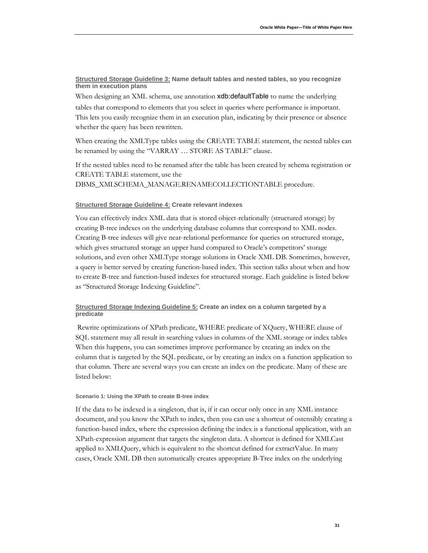#### <span id="page-32-0"></span>**Structured Storage Guideline 3: Name default tables and nested tables, so you recognize them in execution plans**

When designing an XML schema, use annotation xdb:defaultTable to name the underlying

tables that correspond to elements that you select in queries where performance is important. This lets you easily recognize them in an execution plan, indicating by their presence or absence whether the query has been rewritten.

When creating the XMLType tables using the CREATE TABLE statement, the nested tables can be renamed by using the "VARRAY … STORE AS TABLE" clause.

If the nested tables need to be renamed after the table has been created by schema registration or CREATE TABLE statement, use the DBMS\_XMLSCHEMA\_MANAGE.RENAMECOLLECTIONTABLE procedure.

#### <span id="page-32-1"></span>**Structured Storage Guideline 4: Create relevant indexes**

You can effectively index XML data that is stored object-relationally (structured storage) by creating B-tree indexes on the underlying database columns that correspond to XML nodes. Creating B-tree indexes will give near-relational performance for queries on structured storage, which gives structured storage an upper hand compared to Oracle's competitors' storage solutions, and even other XMLType storage solutions in Oracle XML DB. Sometimes, however, a query is better served by creating function-based index. This section talks about when and how to create B-tree and function-based indexes for structured storage. Each guideline is listed below as "Structured Storage Indexing Guideline".

#### <span id="page-32-2"></span>**Structured Storage Indexing Guideline 5: Create an index on a column targeted by a predicate**

Rewrite optimizations of XPath predicate, WHERE predicate of XQuery, WHERE clause of SQL statement may all result in searching values in columns of the XML storage or index tables When this happens, you can sometimes improve performance by creating an index on the column that is targeted by the SQL predicate, or by creating an index on a function application to that column. There are several ways you can create an index on the predicate. Many of these are listed below:

#### **Scenario 1: Using the XPath to create B-tree index**

If the data to be indexed is a singleton, that is, if it can occur only once in any XML instance document, and you know the XPath to index, then you can use a shortcut of ostensibly creating a function-based index, where the expression defining the index is a functional application, with an XPath-expression argument that targets the singleton data. A shortcut is defined for XMLCast applied to XMLQuery, which is equivalent to the shortcut defined for extractValue. In many cases, Oracle XML DB then automatically creates appropriate B-Tree index on the underlying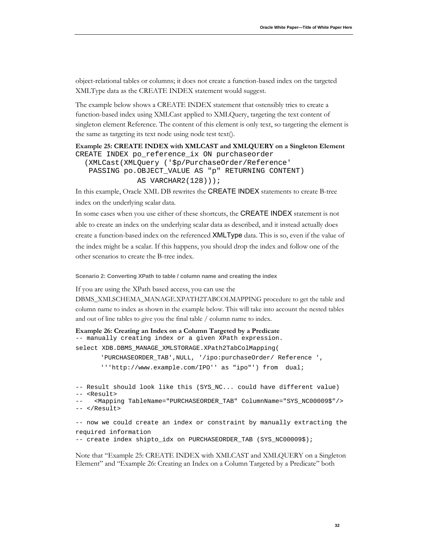object-relational tables or columns; it does not create a function-based index on the targeted XMLType data as the CREATE INDEX statement would suggest.

The example below shows a CREATE INDEX statement that ostensibly tries to create a function-based index using XMLCast applied to XMLQuery, targeting the text content of singleton element Reference. The content of this element is only text, so targeting the element is the same as targeting its text node using node test text().

```
Example 25: CREATE INDEX with XMLCAST and XMLQUERY on a Singleton Element
CREATE INDEX po_reference_ix ON purchaseorder
```

```
 (XMLCast(XMLQuery ('$p/PurchaseOrder/Reference' 
 PASSING po.OBJECT_VALUE AS "p" RETURNING CONTENT)
            AS VARCHAR2(128)));
```
In this example, Oracle XML DB rewrites the CREATE INDEX statements to create B-tree index on the underlying scalar data.

In some cases when you use either of these shortcuts, the CREATE INDEX statement is not able to create an index on the underlying scalar data as described, and it instead actually does create a function-based index on the referenced XMLType data. This is so, even if the value of the index might be a scalar. If this happens, you should drop the index and follow one of the other scenarios to create the B-tree index.

**Scenario 2: Converting XPath to table / column name and creating the index**

If you are using the XPath based access, you can use the

DBMS\_XMLSCHEMA\_MANAGE.XPATH2TABCOLMAPPING procedure to get the table and column name to index as shown in the example below. This will take into account the nested tables and out of line tables to give you the final table / column name to index.

```
Example 26: Creating an Index on a Column Targeted by a Predicate
-- manually creating index or a given XPath expression.
select XDB.DBMS_MANAGE_XMLSTORAGE.XPath2TabColMapping( 
       'PURCHASEORDER_TAB',NULL, '/ipo:purchaseOrder/ Reference ',
```
'''http://www.example.com/IPO'' as "ipo"') from dual;

```
-- Result should look like this (SYS_NC... could have different value)
-- <Result>
     -- <Mapping TableName="PURCHASEORDER_TAB" ColumnName="SYS_NC00009$"/>
-- </Result>
-- now we could create an index or constraint by manually extracting the 
required information
```

```
-- create index shipto_idx on PURCHASEORDER_TAB (SYS_NC00009$);
```
Note that ["Example 25: CREATE INDEX with XMLCAST and XMLQUERY on a Singleton](#page-33-0)  [Element"](#page-33-0) and ["Example 26: Creating an Index on a Column Targeted by a Predicate"](#page-33-1) both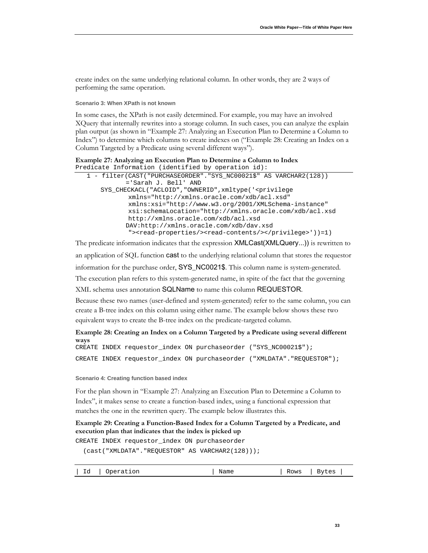create index on the same underlying relational column. In other words, they are 2 ways of performing the same operation.

**Scenario 3: When XPath is not known**

In some cases, the XPath is not easily determined. For example, you may have an involved XQuery that internally rewrites into a storage column. In such cases, you can analyze the explain plan output (as shown in ["Example 27: Analyzing an Execution Plan to Determine a Column to](#page-34-0)  [Index"](#page-34-0)) to determine which columns to create indexes on (["Example 28: Creating an Index on a](#page-34-1)  [Column Targeted by a Predicate using several different ways"](#page-34-1)).

#### <span id="page-34-0"></span>**Example 27: Analyzing an Execution Plan to Determine a Column to Index** Predicate Information (identified by operation id):

```
 1 - filter(CAST("PURCHASEORDER"."SYS_NC00021$" AS VARCHAR2(128)) 
          ='Sarah J. Bell' AND 
   SYS_CHECKACL("ACLOID","OWNERID",xmltype('<privilege
           xmlns="http://xmlns.oracle.com/xdb/acl.xsd"
            xmlns:xsi="http://www.w3.org/2001/XMLSchema-instance"
            xsi:schemaLocation="http://xmlns.oracle.com/xdb/acl.xsd
           http://xmlns.oracle.com/xdb/acl.xsd 
          DAV:http://xmlns.oracle.com/xdb/dav.xsd
            "><read-properties/><read-contents/></privilege>'))=1)
```
The predicate information indicates that the expression XMLCast(XMLQuery...)) is rewritten to an application of SQL function cast to the underlying relational column that stores the requestor information for the purchase order, SYS\_NC0021\$. This column name is system-generated. The execution plan refers to this system-generated name, in spite of the fact that the governing XML schema uses annotation SQLName to name this column REQUESTOR.

Because these two names (user-defined and system-generated) refer to the same column, you can create a B-tree index on this column using either name. The example below shows these two equivalent ways to create the B-tree index on the predicate-targeted column.

<span id="page-34-1"></span>**Example 28: Creating an Index on a Column Targeted by a Predicate using several different ways** CREATE INDEX requestor\_index ON purchaseorder ("SYS\_NC00021\$");

CREATE INDEX requestor\_index ON purchaseorder ("XMLDATA"."REQUESTOR");

**Scenario 4: Creating function based index**

For the plan shown in ["Example 27: Analyzing an Execution Plan to Determine a Column to](#page-34-0)  [Index"](#page-34-0), it makes sense to create a function-based index, using a functional expression that matches the one in the rewritten query. The example below illustrates this.

#### **Example 29: Creating a Function-Based Index for a Column Targeted by a Predicate, and execution plan that indicates that the index is picked up**

CREATE INDEX requestor\_index ON purchaseorder

(cast("XMLDATA"."REQUESTOR" AS VARCHAR2(128)));

|           |           | --   |      |              |
|-----------|-----------|------|------|--------------|
| T d<br>⊥u | Operation | Name | Rows | <b>Bytes</b> |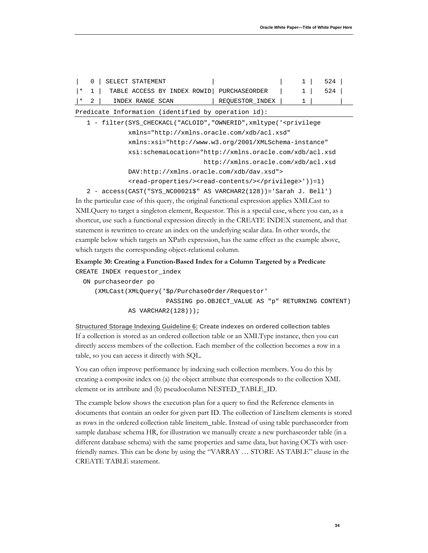|  | 0   SELECT STATEMENT          |  |  |                                                             |  | 1   524 |  |
|--|-------------------------------|--|--|-------------------------------------------------------------|--|---------|--|
|  |                               |  |  | * 1   TABLE ACCESS BY INDEX ROWID   PURCHASEORDER   1   524 |  |         |  |
|  | $ \star$ 2   INDEX RANGE SCAN |  |  | REQUESTOR_INDEX   1                                         |  |         |  |

Predicate Information (identified by operation id):

 1 - filter(SYS\_CHECKACL("ACLOID","OWNERID",xmltype('<privilege xmlns="http://xmlns.oracle.com/xdb/acl.xsd" xmlns:xsi="http://www.w3.org/2001/XMLSchema-instance" xsi:schemaLocation="http://xmlns.oracle.com/xdb/acl.xsd http://xmlns.oracle.com/xdb/acl.xsd DAV:http://xmlns.oracle.com/xdb/dav.xsd"> <read-properties/><read-contents/></privilege>'))=1) 2 - access(CAST("SYS\_NC00021\$" AS VARCHAR2(128))='Sarah J. Bell')

In the particular case of this query, the original functional expression applies XMLCast to XMLQuery to target a singleton element, Requestor. This is a special case, where you can, as a shortcut, use such a functional expression directly in the CREATE INDEX statement, and that statement is rewritten to create an index on the underlying scalar data. In other words, the example below which targets an XPath expression, has the same effect as the example above, which targets the corresponding object-relational column.

**Example 30: Creating a Function-Based Index for a Column Targeted by a Predicate** CREATE INDEX requestor\_index

```
 ON purchaseorder po
    (XMLCast(XMLQuery('$p/PurchaseOrder/Requestor' 
                        PASSING po.OBJECT_VALUE AS "p" RETURNING CONTENT)
             AS VARCHAR2(128)));
```
<span id="page-35-0"></span><u>Structured Storage Indexing Guideline 6:</u> Create indexes on ordered collection tables If a collection is stored as an ordered collection table or an XMLType instance, then you can directly access members of the collection. Each member of the collection becomes a row in a table, so you can access it directly with SQL.

You can often improve performance by indexing such collection members. You do this by creating a composite index on (a) the object attribute that corresponds to the collection XML element or its attribute and (b) pseudocolumn NESTED\_TABLE\_ID.

The example below shows the execution plan for a query to find the Reference elements in documents that contain an order for given part ID. The collection of LineItem elements is stored as rows in the ordered collection table lineitem\_table. Instead of using table purchaseorder from sample database schema HR, for illustration we manually create a new purchaseorder table (in a different database schema) with the same properties and same data, but having OCTs with userfriendly names. This can be done by using the "VARRAY … STORE AS TABLE" clause in the CREATE TABLE statement.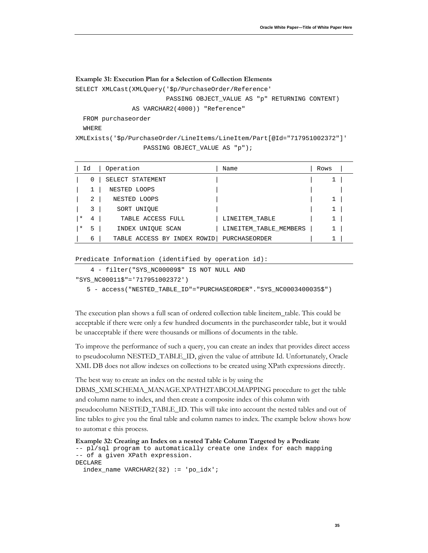#### **Example 31: Execution Plan for a Selection of Collection Elements**

SELECT XMLCast(XMLQuery('\$p/PurchaseOrder/Reference'

PASSING OBJECT\_VALUE AS "p" RETURNING CONTENT)

AS VARCHAR2(4000)) "Reference"

FROM purchaseorder

WHERE

XMLExists('\$p/PurchaseOrder/LineItems/LineItem/Part[@Id="717951002372"]' PASSING OBJECT\_VALUE AS "p");

|          | Id | Operation                   | Name                   | Rows         |
|----------|----|-----------------------------|------------------------|--------------|
|          | 0  | SELECT STATEMENT            |                        | 1            |
|          |    | NESTED LOOPS                |                        |              |
|          | 2  | NESTED LOOPS                |                        | 1            |
|          | 3  | SORT UNIOUE                 |                        | $\mathbf{1}$ |
| $\ast$   | 4  | TABLE ACCESS FULL           | LINEITEM TABLE         | 1            |
| $^\star$ | 5  | INDEX UNIOUE SCAN           | LINEITEM TABLE MEMBERS | 1            |
|          | 6  | TABLE ACCESS BY INDEX ROWID | PURCHASEORDER          |              |

```
Predicate Information (identified by operation id):
```

```
 4 - filter("SYS_NC00009$" IS NOT NULL AND
```

```
"SYS_NC00011$"='717951002372')
```
5 - access("NESTED\_TABLE\_ID"="PURCHASEORDER"."SYS\_NC0003400035\$")

The execution plan shows a full scan of ordered collection table lineitem\_table. This could be acceptable if there were only a few hundred documents in the purchaseorder table, but it would be unacceptable if there were thousands or millions of documents in the table.

To improve the performance of such a query, you can create an index that provides direct access to pseudocolumn NESTED\_TABLE\_ID, given the value of attribute Id. Unfortunately, Oracle XML DB does not allow indexes on collections to be created using XPath expressions directly.

The best way to create an index on the nested table is by using the

DBMS\_XMLSCHEMA\_MANAGE.XPATH2TABCOLMAPPING procedure to get the table and column name to index, and then create a composite index of this column with pseudocolumn NESTED\_TABLE\_ID. This will take into account the nested tables and out of line tables to give you the final table and column names to index. The example below shows how to automat e this process.

```
Example 32: Creating an Index on a nested Table Column Targeted by a Predicate
-- pl/sql program to automatically create one index for each mapping 
-- of a given XPath expression.
DECLARE
  index_name VARCHAR2(32) := 'po_idx';
```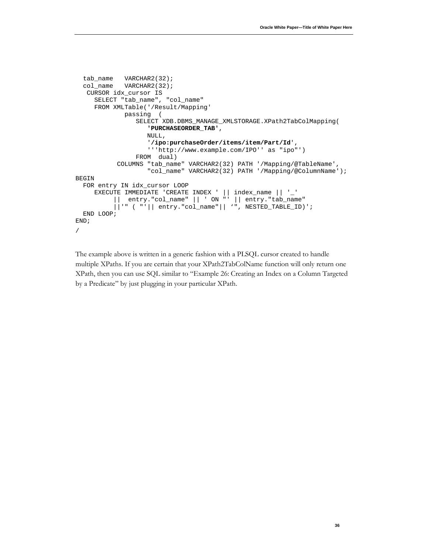```
tab_name VARCHAR2(32);
  col_name VARCHAR2(32);
    CURSOR idx_cursor IS
      SELECT "tab_name", "col_name" 
      FROM XMLTable('/Result/Mapping' 
              passing (
                 SELECT XDB.DBMS_MANAGE_XMLSTORAGE.XPath2TabColMapping(
                     'PURCHASEORDER_TAB',
                   NULL, 
                    '/ipo:purchaseOrder/items/item/Part/Id', 
                     '''http://www.example.com/IPO'' as "ipo"') 
                 FROM dual)
            COLUMNS "tab_name" VARCHAR2(32) PATH '/Mapping/@TableName',
                    "col_name" VARCHAR2(32) PATH '/Mapping/@ColumnName');
BEGIN
   FOR entry IN idx_cursor LOOP 
      EXECUTE IMMEDIATE 'CREATE INDEX ' || index_name || '_' 
           || entry."col_name" || ' ON "' || entry."tab_name" 
           ||'" ( "'|| entry."col_name"|| '", NESTED_TABLE_ID)';
   END LOOP;
END;
/
```
The example above is written in a generic fashion with a PLSQL cursor created to handle multiple XPaths. If you are certain that your XPath2TabColName function will only return one XPath, then you can use SQL similar to ["Example 26: Creating an Index on a Column Targeted](#page-33-1)  [by a Predicate"](#page-33-1) by just plugging in your particular XPath.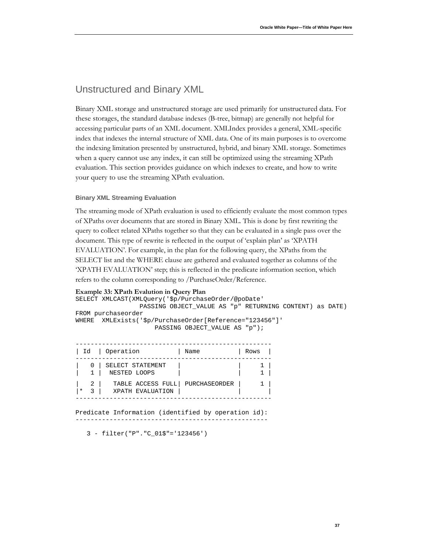### <span id="page-38-0"></span>Unstructured and Binary XML

Binary XML storage and unstructured storage are used primarily for unstructured data. For these storages, the standard database indexes (B-tree, bitmap) are generally not helpful for accessing particular parts of an XML document. XMLIndex provides a general, XML-specific index that indexes the internal structure of XML data. One of its main purposes is to overcome the indexing limitation presented by unstructured, hybrid, and binary XML storage. Sometimes when a query cannot use any index, it can still be optimized using the streaming XPath evaluation. This section provides guidance on which indexes to create, and how to write your query to use the streaming XPath evaluation.

#### <span id="page-38-1"></span>**Binary XML Streaming Evaluation**

The streaming mode of XPath evaluation is used to efficiently evaluate the most common types of XPaths over documents that are stored in Binary XML. This is done by first rewriting the query to collect related XPaths together so that they can be evaluated in a single pass over the document. This type of rewrite is reflected in the output of 'explain plan' as 'XPATH EVALUATION'. For example, in the plan for the following query, the XPaths from the SELECT list and the WHERE clause are gathered and evaluated together as columns of the 'XPATH EVALUATION' step; this is reflected in the predicate information section, which refers to the column corresponding to /PurchaseOrder/Reference.

#### **Example 33: XPath Evalution in Query Plan**

SELECT XMLCAST(XMLQuery('\$p/PurchaseOrder/@poDate' PASSING OBJECT\_VALUE AS "p" RETURNING CONTENT) as DATE) FROM purchaseorder WHERE XMLExists('\$p/PurchaseOrder[Reference="123456"]' PASSING OBJECT VALUE AS "p");

|          | Id   Operation                                          | Name | Rows |  |
|----------|---------------------------------------------------------|------|------|--|
|          | 0 SELECT STATEMENT<br>NESTED LOOPS                      |      |      |  |
| $2 \mid$ | TABLE ACCESS FULL   PURCHASEORDER<br>3 XPATH EVALUATION |      |      |  |

Predicate Information (identified by operation id): ---------------------------------------------------

3 - filter("P"."C\_01\$"='123456')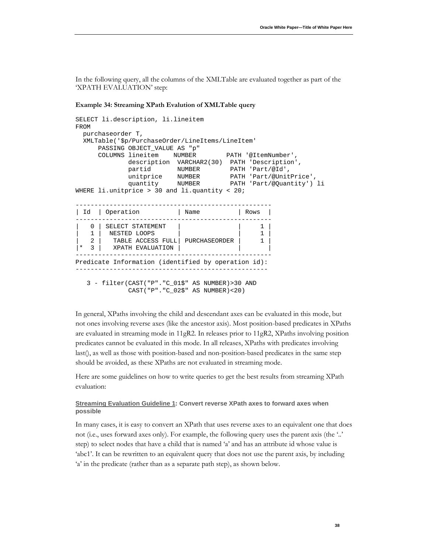In the following query, all the columns of the XMLTable are evaluated together as part of the 'XPATH EVALUATION' step:

#### **Example 34: Streaming XPath Evalution of XMLTable query**

```
SELECT li.description, li.lineitem 
FROM 
  purchaseorder T, 
  XMLTable('$p/PurchaseOrder/LineItems/LineItem'
      PASSING OBJECT_VALUE AS "p"
      COLUMNS lineitem NUMBER PATH '@ItemNumber',
             description VARCHAR2(30) PATH 'Description',
 partid NUMBER PATH 'Part/@Id',
 unitprice NUMBER PATH 'Part/@UnitPrice',
 quantity NUMBER PATH 'Part/@Quantity') li
WHERE li.unitprice > 30 and li.quantity < 20;
     ----------------------------------------------------
| Id | Operation | Name | Rows |
  ----------------------------------------------------
| 0 | SELECT STATEMENT | | | | | | 1 |
| 1 | NESTED LOOPS | | 1 |
   2 | TABLE ACCESS FULL | PURCHASEORDER | 1
|\star 3 | XPATH EVALUATION | |
        ----------------------------------------------------
Predicate Information (identified by operation id):
  ---------------------------------------------------
   3 - filter(CAST("P"."C_01$" AS NUMBER)>30 AND
```
CAST("P"."C\_02\$" AS NUMBER)<20)

In general, XPaths involving the child and descendant axes can be evaluated in this mode, but not ones involving reverse axes (like the ancestor axis). Most position-based predicates in XPaths are evaluated in streaming mode in 11gR2. In releases prior to 11gR2, XPaths involving position predicates cannot be evaluated in this mode. In all releases, XPaths with predicates involving last(), as well as those with position-based and non-position-based predicates in the same step should be avoided, as these XPaths are not evaluated in streaming mode.

Here are some guidelines on how to write queries to get the best results from streaming XPath evaluation:

#### <span id="page-39-0"></span>**Streaming Evaluation Guideline 1 : Convert reverse XPath axes to forward axes when possible**

In many cases, it is easy to convert an XPath that uses reverse axes to an equivalent one that does not (i.e., uses forward axes only). For example, the following query uses the parent axis (the '..' step) to select nodes that have a child that is named 'a' and has an attribute id whose value is 'abc1'. It can be rewritten to an equivalent query that does not use the parent axis, by including 'a' in the predicate (rather than as a separate path step), as shown below.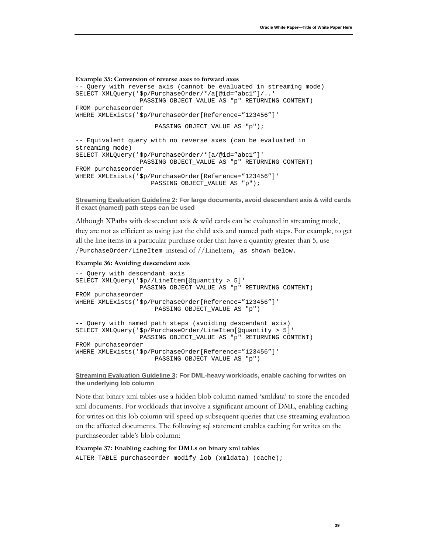```
Example 35: Conversion of reverse axes to forward axes
-- Query with reverse axis (cannot be evaluated in streaming mode)
SELECT XMLQuery('$p/PurchaseOrder/*/a[@id="abc1"]/..'
                  PASSING OBJECT_VALUE AS "p" RETURNING CONTENT)
FROM purchaseorder
WHERE XMLExists('$p/PurchaseOrder[Reference="123456"]' 
                      PASSING OBJECT_VALUE AS "p");
-- Equivalent query with no reverse axes (can be evaluated in 
streaming mode)
SELECT XMLQuery('$p/PurchaseOrder/*[a/@id="abc1"]'
                  PASSING OBJECT_VALUE AS "p" RETURNING CONTENT)
FROM purchaseorder
```
WHERE XMLExists('\$p/PurchaseOrder[Reference="123456"]' PASSING OBJECT\_VALUE AS "p");

<span id="page-40-0"></span>**Streaming Evaluation Guideline 2 : For large documents, avoid descendant axis & wild cards if exact (named) path steps can be used**

Although XPaths with descendant axis & wild cards can be evaluated in streaming mode, they are not as efficient as using just the child axis and named path steps. For example, to get all the line items in a particular purchase order that have a quantity greater than 5, use /PurchaseOrder/LineItem instead of //LineItem, as shown below.

#### **Example 36: Avoiding descendant axis**

```
-- Query with descendant axis
SELECT XMLQuery('$p//LineItem[@quantity > 5]'
                  PASSING OBJECT_VALUE AS "p" RETURNING CONTENT)
FROM purchaseorder
WHERE XMLExists('$p/PurchaseOrder[Reference="123456"]' 
                      PASSING OBJECT_VALUE AS "p")
-- Query with named path steps (avoiding descendant axis)
SELECT XMLQuery('$p/PurchaseOrder/LineItem[@quantity > 5]'
                  PASSING OBJECT_VALUE AS "p" RETURNING CONTENT)
FROM purchaseorder
WHERE XMLExists('$p/PurchaseOrder[Reference="123456"]' 
                      PASSING OBJECT_VALUE AS "p")
```
<span id="page-40-1"></span>**Streaming Evaluation Guideline 3 : For DML-heavy workloads, enable caching for writes on the underlying lob column**

Note that binary xml tables use a hidden blob column named 'xmldata' to store the encoded xml documents. For workloads that involve a significant amount of DML, enabling caching for writes on this lob column will speed up subsequent queries that use streaming evaluation on the affected documents. The following sql statement enables caching for writes on the purchaseorder table's blob column:

#### **Example 37: Enabling caching for DMLs on binary xml tables**

ALTER TABLE purchaseorder modify lob (xmldata) (cache);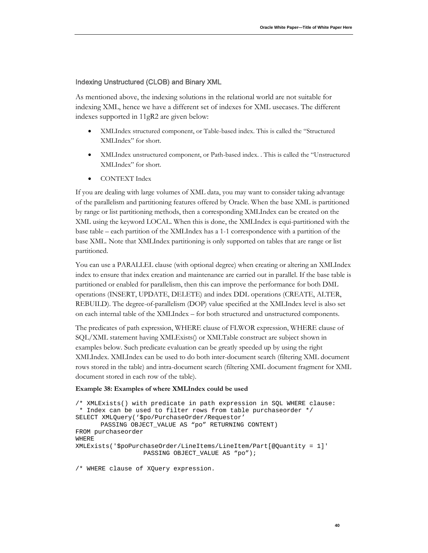#### <span id="page-41-0"></span>Indexing Unstructured (CLOB) and Binary XML

As mentioned above, the indexing solutions in the relational world are not suitable for indexing XML, hence we have a different set of indexes for XML usecases. The different indexes supported in 11gR2 are given below:

- XMLIndex structured component, or Table-based index. This is called the "Structured XMLIndex" for short.
- XMLIndex unstructured component, or Path-based index. . This is called the "Unstructured XMLIndex" for short.
- CONTEXT Index

If you are dealing with large volumes of XML data, you may want to consider taking advantage of the parallelism and partitioning features offered by Oracle. When the base XML is partitioned by range or list partitioning methods, then a corresponding XMLIndex can be created on the XML using the keyword LOCAL. When this is done, the XMLIndex is equi-partitioned with the base table – each partition of the XMLIndex has a 1-1 correspondence with a partition of the base XML. Note that XMLIndex partitioning is only supported on tables that are range or list partitioned.

You can use a PARALLEL clause (with optional degree) when creating or altering an XMLIndex index to ensure that index creation and maintenance are carried out in parallel. If the base table is partitioned or enabled for parallelism, then this can improve the performance for both DML operations (INSERT, UPDATE, DELETE) and index DDL operations (CREATE, ALTER, REBUILD). The degree-of-parallelism (DOP) value specified at the XMLIndex level is also set on each internal table of the XMLIndex – for both structured and unstructured components.

The predicates of path expression, WHERE clause of FLWOR expression, WHERE clause of SQL/XML statement having XMLExists() or XMLTable construct are subject shown in examples below. Such predicate evaluation can be greatly speeded up by using the right XMLIndex. XMLIndex can be used to do both inter-document search (filtering XML document rows stored in the table) and intra-document search (filtering XML document fragment for XML document stored in each row of the table).

#### <span id="page-41-1"></span>**Example 38: Examples of where XMLIndex could be used**

```
/* XMLExists() with predicate in path expression in SQL WHERE clause:
 * Index can be used to filter rows from table purchaseorder */
SELECT XMLQuery('$po/PurchaseOrder/Requestor' 
      PASSING OBJECT_VALUE AS "po" RETURNING CONTENT)
FROM purchaseorder 
WHERE 
XMLExists('$poPurchaseOrder/LineItems/LineItem/Part[@Quantity = 1]'
                   PASSING OBJECT_VALUE AS "po");
```
/\* WHERE clause of XQuery expression.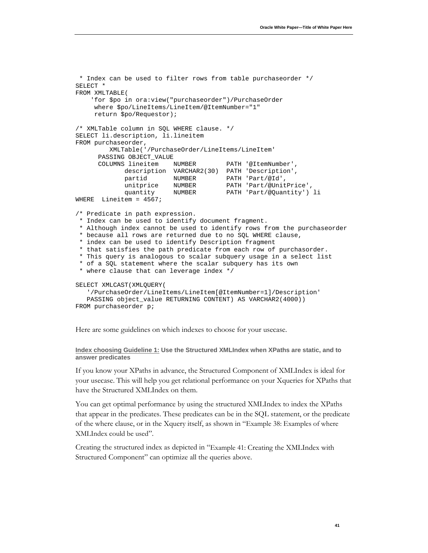```
* Index can be used to filter rows from table purchaseorder */
SELECT *
FROM XMLTABLE(
     'for $po in ora:view("purchaseorder")/PurchaseOrder 
      where $po/LineItems/LineItem/@ItemNumber="1" 
      return $po/Requestor);
/* XMLTable column in SQL WHERE clause. */
SELECT li.description, li.lineitem
FROM purchaseorder, 
          XMLTable('/PurchaseOrder/LineItems/LineItem'
       PASSING OBJECT_VALUE
       COLUMNS lineitem NUMBER PATH '@ItemNumber',
              description VARCHAR2(30) PATH 'Description',
             partid NUMBER PATH 'Part/@Id',<br>unitprice NUMBER PATH 'Part/@UnitPrice',
             unitprice NUMBER<br>quantity NUMBER
                                       PATH 'Part/@Quantity') li
WHERE Lineitem = 4567;
/* Predicate in path expression. 
 * Index can be used to identify document fragment. 
 * Although index cannot be used to identify rows from the purchaseorder 
 * because all rows are returned due to no SQL WHERE clause, 
 * index can be used to identify Description fragment 
 * that satisfies the path predicate from each row of purchasorder. 
 * This query is analogous to scalar subquery usage in a select list 
 * of a SQL statement where the scalar subquery has its own 
 * where clause that can leverage index */
SELECT XMLCAST(XMLQUERY( 
    '/PurchaseOrder/LineItems/LineItem[@ItemNumber=1]/Description'
    PASSING object_value RETURNING CONTENT) AS VARCHAR2(4000))
FROM purchaseorder p;
```
Here are some guidelines on which indexes to choose for your usecase.

#### <span id="page-42-0"></span>**Index choosing Guideline 1: Use the Structured XMLIndex when XPaths are static, and to answer predicates**

If you know your XPaths in advance, the Structured Component of XMLIndex is ideal for your usecase. This will help you get relational performance on your Xqueries for XPaths that have the Structured XMLIndex on them.

You can get optimal performance by using the structured XMLIndex to index the XPaths that appear in the predicates. These predicates can be in the SQL statement, or the predicate of the where clause, or in the Xquery itself, as shown in ["Example 38: Examples of where](#page-41-1)  [XMLIndex could be used"](#page-41-1).

Creating the structured index as depicted in ["Example 41: Creating the XMLIndex with](#page-46-1)  [Structured Component"](#page-46-1) can optimize all the queries above.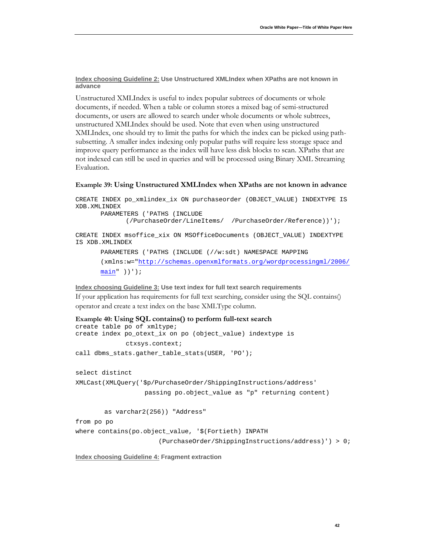<span id="page-43-0"></span><u>Index choosing Guideline 2:</u> Use Unstructured XMLIndex when XPaths are not known in **advance**

Unstructured XMLIndex is useful to index popular subtrees of documents or whole documents, if needed. When a table or column stores a mixed bag of semi-structured documents, or users are allowed to search under whole documents or whole subtrees, unstructured XMLIndex should be used. Note that even when using unstructured XMLIndex, one should try to limit the paths for which the index can be picked using pathsubsetting. A smaller index indexing only popular paths will require less storage space and improve query performance as the index will have less disk blocks to scan. XPaths that are not indexed can still be used in queries and will be processed using Binary XML Streaming Evaluation.

#### **Example 39: Using Unstructured XMLIndex when XPaths are not known in advance**

CREATE INDEX po\_xmlindex\_ix ON purchaseorder (OBJECT\_VALUE) INDEXTYPE IS XDB.XMLINDEX PARAMETERS ('PATHS (INCLUDE (/PurchaseOrder/LineItems/ /PurchaseOrder/Reference))'); CREATE INDEX msoffice\_xix ON MSOfficeDocuments (OBJECT\_VALUE) INDEXTYPE IS XDB.XMLINDEX PARAMETERS ('PATHS (INCLUDE (//w:sdt) NAMESPACE MAPPING (xmlns:w=["http://schemas.openxmlformats.org/wordprocessingml/2006/](http://schemas.openxmlformats.org/wordprocessingml/2006/main)  $main"$  ))');

#### <span id="page-43-1"></span>**Index choosing Guideline 3: Use text index for full text search requirements**

If your application has requirements for full text searching, consider using the SQL contains() operator and create a text index on the base XMLType column.

```
Example 40: Using SQL contains() to perform full-text search
create table po of xmltype;
create index po_otext_ix on po (object_value) indextype is 
             ctxsys.context;
call dbms_stats.gather_table_stats(USER, 'PO');
select distinct 
XMLCast(XMLQuery('$p/PurchaseOrder/ShippingInstructions/address' 
                    passing po.object_value as "p" returning content)
        as varchar2(256)) "Address"
from po po
where contains(po.object_value, '$(Fortieth) INPATH 
                        (PurchaseOrder/ShippingInstructions/address)') > 0;
```
<span id="page-43-2"></span>**Index choosing Guideline 4: Fragment extraction**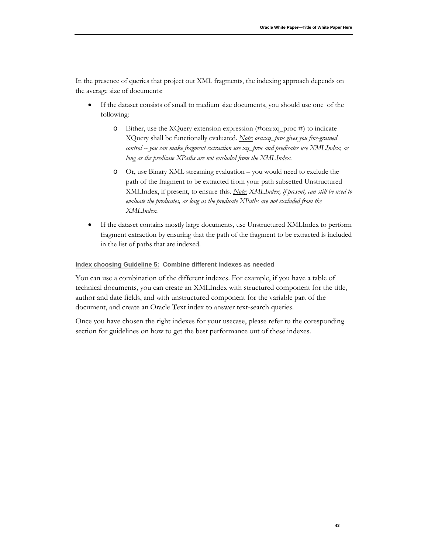In the presence of queries that project out XML fragments, the indexing approach depends on the average size of documents:

- If the dataset consists of small to medium size documents, you should use one of the following:
	- o Either, use the XQuery extension expression (#ora:xq\_proc #) to indicate XQuery shall be functionally evaluated. *Note: ora:xq\_proc gives you fine-grained control -- you can make fragment extraction use xq\_proc and predicates use XMLIndex, as long as the predicate XPaths are not excluded from the XMLIndex.*
	- o Or, use Binary XML streaming evaluation you would need to exclude the path of the fragment to be extracted from your path subsetted Unstructured XMLIndex, if present, to ensure this. *Note: XMLIndex, if present, can still be used to evaluate the predicates, as long as the predicate XPaths are not excluded from the XMLIndex.*
- If the dataset contains mostly large documents, use Unstructured XMLIndex to perform fragment extraction by ensuring that the path of the fragment to be extracted is included in the list of paths that are indexed.

#### <span id="page-44-0"></span>**Index choosing Guideline 5: Combine different indexes as needed**

You can use a combination of the different indexes. For example, if you have a table of technical documents, you can create an XMLIndex with structured component for the title, author and date fields, and with unstructured component for the variable part of the document, and create an Oracle Text index to answer text-search queries.

Once you have chosen the right indexes for your usecase, please refer to the coresponding section for guidelines on how to get the best performance out of these indexes.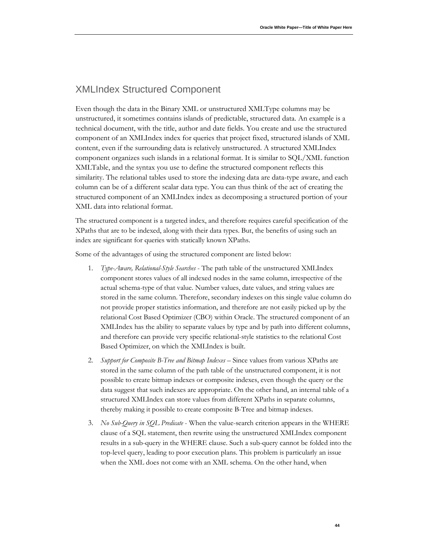# <span id="page-45-0"></span>XMLIndex Structured Component

Even though the data in the Binary XML or unstructured XMLType columns may be unstructured, it sometimes contains islands of predictable, structured data. An example is a technical document, with the title, author and date fields. You create and use the structured component of an XMLIndex index for queries that project fixed, structured islands of XML content, even if the surrounding data is relatively unstructured. A structured XMLIndex component organizes such islands in a relational format. It is similar to SQL/XML function XMLTable, and the syntax you use to define the structured component reflects this similarity. The relational tables used to store the indexing data are data-type aware, and each column can be of a different scalar data type. You can thus think of the act of creating the structured component of an XMLIndex index as decomposing a structured portion of your XML data into relational format.

The structured component is a targeted index, and therefore requires careful specification of the XPaths that are to be indexed, along with their data types. But, the benefits of using such an index are significant for queries with statically known XPaths.

Some of the advantages of using the structured component are listed below:

- 1. *Type-Aware, Relational-Style Searches* The path table of the unstructured XMLIndex component stores values of all indexed nodes in the same column, irrespective of the actual schema-type of that value. Number values, date values, and string values are stored in the same column. Therefore, secondary indexes on this single value column do not provide proper statistics information, and therefore are not easily picked up by the relational Cost Based Optimizer (CBO) within Oracle. The structured component of an XMLIndex has the ability to separate values by type and by path into different columns, and therefore can provide very specific relational-style statistics to the relational Cost Based Optimizer, on which the XMLIndex is built.
- 2. *Support for Composite B-Tree and Bitmap Indexes* Since values from various XPaths are stored in the same column of the path table of the unstructured component, it is not possible to create bitmap indexes or composite indexes, even though the query or the data suggest that such indexes are appropriate. On the other hand, an internal table of a structured XMLIndex can store values from different XPaths in separate columns, thereby making it possible to create composite B-Tree and bitmap indexes.
- 3. *No Sub-Query in SQL Predicate* When the value-search criterion appears in the WHERE clause of a SQL statement, then rewrite using the unstructured XMLIndex component results in a sub-query in the WHERE clause. Such a sub-query cannot be folded into the top-level query, leading to poor execution plans. This problem is particularly an issue when the XML does not come with an XML schema. On the other hand, when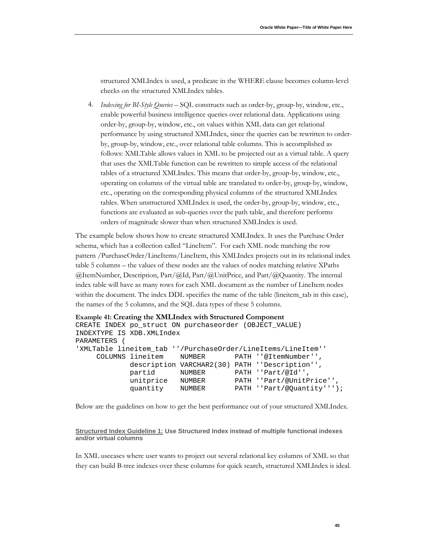structured XMLIndex is used, a predicate in the WHERE clause becomes column-level checks on the structured XMLIndex tables.

4. *Indexing for BI-Style Queries –* SQL constructs such as order-by, group-by, window, etc., enable powerful business intelligence queries over relational data. Applications using order-by, group-by, window, etc., on values within XML data can get relational performance by using structured XMLIndex, since the queries can be rewritten to orderby, group-by, window, etc., over relational table columns. This is accomplished as follows: XMLTable allows values in XML to be projected out as a virtual table. A query that uses the XMLTable function can be rewritten to simple access of the relational tables of a structured XMLIndex. This means that order-by, group-by, window, etc., operating on columns of the virtual table are translated to order-by, group-by, window, etc., operating on the corresponding physical columns of the structured XMLIndex tables. When unstructured XMLIndex is used, the order-by, group-by, window, etc., functions are evaluated as sub-queries over the path table, and therefore performs orders of magnitude slower than when structured XMLIndex is used.

The example below shows how to create structured XMLIndex. It uses the Purchase Order schema, which has a collection called "LineItem". For each XML node matching the row pattern /PurchaseOrder/LineItems/LineItem, this XMLIndex projects out in its relational index table 5 columns – the values of these nodes are the values of nodes matching relative XPaths @ItemNumber, Description, Part/@Id, Part/@UnitPrice, and Part/@Quantity. The internal index table will have as many rows for each XML document as the number of LineItem nodes within the document. The index DDL specifies the name of the table (lineitem\_tab in this case), the names of the 5 columns, and the SQL data types of these 5 columns.

```
Example 41: Creating the XMLIndex with Structured Component
CREATE INDEX po_struct ON purchaseorder (OBJECT_VALUE) 
INDEXTYPE IS XDB.XMLIndex
PARAMETERS (
'XMLTable lineitem_tab ''/PurchaseOrder/LineItems/LineItem''
      COLUMNS lineitem NUMBER PATH ''@ItemNumber'',
                description VARCHAR2(30) PATH ''Description'',
               partid NUMBER PATH ''Part/@Id'',<br>unitprice NUMBER PATH ''Part/@UnitP
               unitprice NUMBER PATH ''Part/@UnitPrice''<br>quantity NUMBER PATH ''Part/@Quantity'''
                                            PATH ''Part/@Quantity''');
```
Below are the guidelines on how to get the best performance out of your structured XMLIndex.

<span id="page-46-0"></span>**Structured Index Guideline 1: Use Structured Index instead of multiple functional indexes and/or virtual columns**

In XML usecases where user wants to project out several relational key columns of XML so that they can build B-tree indexes over these columns for quick search, structured XMLIndex is ideal.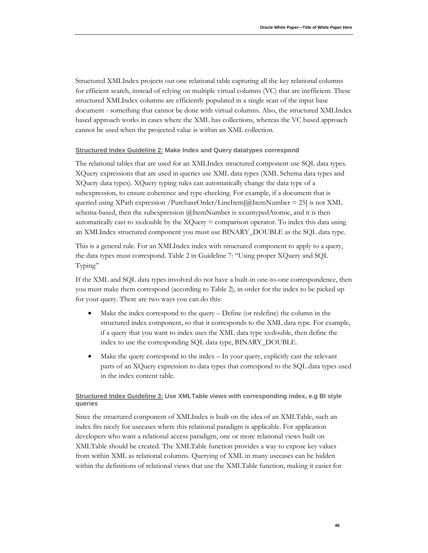Structured XMLIndex projects out one relational table capturing all the key relational columns for efficient search, instead of relying on multiple virtual columns (VC) that are inefficient. These structured XMLIndex columns are efficiently populated in a single scan of the input base document - something that cannot be done with virtual columns. Also, the structured XMLIndex based approach works in cases where the XML has collections, whereas the VC based approach cannot be used when the projected value is within an XML collection.

#### <span id="page-47-0"></span><u>Structured Index Guideline 2:</u> Make Index and Query datatypes correspond

The relational tables that are used for an XMLIndex structured component use SQL data types. XQuery expressions that are used in queries use XML data types (XML Schema data types and XQuery data types). XQuery typing rules can automatically change the data type of a subexpression, to ensure coherence and type-checking. For example, if a document that is queried using XPath expression /PurchaseOrder/LineItem[ $@$ ItemNumber = 25] is not XML schema-based, then the subexpression @ItemNumber is xs:untypedAtomic, and it is then automatically cast to xs:double by the XQuery = comparison operator. To index this data using an XMLIndex structured component you must use BINARY\_DOUBLE as the SQL data type.

This is a general rule. For an XMLIndex index with structured component to apply to a query, the data types must correspond. Table 2 in Guideline 7: "Using proper XQuery and SQL Typing"

If the XML and SQL data types involved do not have a built-in one-to-one correspondence, then you must make them correspond (according to Table 2), in order for the index to be picked up for your query. There are two ways you can do this:

- Make the index correspond to the query Define (or redefine) the column in the structured index component, so that it corresponds to the XML data type. For example, if a query that you want to index uses the XML data type xs:double, then define the index to use the corresponding SQL data type, BINARY\_DOUBLE.
- Make the query correspond to the index In your query, explicitly cast the relevant parts of an XQuery expression to data types that correspond to the SQL data types used in the index content table.

#### <span id="page-47-1"></span>**Structured Index Guideline 3: Use XMLTable views with corresponding index, e.g BI style queries**

Since the structured component of XMLIndex is built on the idea of an XMLTable, such an index fits nicely for usecases where this relational paradigm is applicable. For application developers who want a relational access paradigm, one or more relational views built on XMLTable should be created. The XMLTable function provides a way to expose key values from within XML as relational columns. Querying of XML in many usecases can be hidden within the definitions of relational views that use the XMLTable function, making it easier for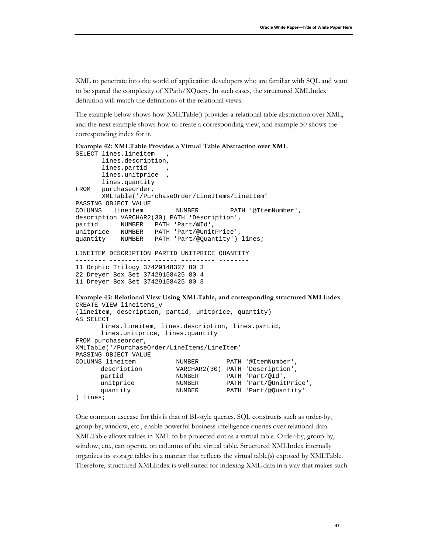XML to penetrate into the world of application developers who are familiar with SQL and want to be spared the complexity of XPath/XQuery. In such cases, the structured XMLIndex definition will match the definitions of the relational views.

The example below shows how XMLTable() provides a relational table abstraction over XML, and the next example shows how to create a corresponding view, and example 50 shows the corresponding index for it.

```
Example 42: XMLTable Provides a Virtual Table Abstraction over XML
```

```
SELECT lines.lineitem
        lines.description,
       lines.partid
       lines.unitprice
       lines.quantity
FROM purchaseorder,
        XMLTable('/PurchaseOrder/LineItems/LineItem'
PASSING OBJECT_VALUE<br>COLUMNS lineitem
                          NUMBER PATH '@ItemNumber',
description VARCHAR2(30) PATH 'Description',
partid NUMBER PATH 'Part/@Id',
unitprice NUMBER PATH 'Part/@UnitPrice',
quantity NUMBER PATH 'Part/@Quantity') lines;
LINEITEM DESCRIPTION PARTID UNITPRICE QUANTITY
-------- ----------- ------ --------- --------
11 Orphic Trilogy 37429148327 80 3
22 Dreyer Box Set 37429158425 80 4
11 Dreyer Box Set 37429158425 80 3
Example 43: Relational View Using XMLTable, and corresponding structured XMLIndex
CREATE VIEW lineitems_v
```

```
(lineitem, description, partid, unitprice, quantity)
AS SELECT 
          lines.lineitem, lines.description, lines.partid,
          lines.unitprice, lines.quantity
FROM purchaseorder,
XMLTable('/PurchaseOrder/LineItems/LineItem'
PASSING OBJECT_VALUE<br>COLUMNS lineitem
         COLUMNS lineitem NUMBER PATH '@ItemNumber',
          description VARCHAR2(30) PATH 'Description',<br>partid MUMBER PATH 'Part/@Id',
          partid MUMBER PATH 'Part/@Id',<br>unitprice MUMBER PATH 'Part/@Unit<br>quantity NUMBER PATH 'Part/@Quan
          unitprice \begin{array}{ccc}\n\text{NUMBER} & \text{PATH } 'Part/\text{\textcircled{WhitePrice}'}, \\
\text{quantity} & \text{NUMBER} & \text{PATH } 'Part/\text{\textcircled{Quantity}'}\n\end{array}PATH 'Part/@Quantity'
) lines;
```
One common usecase for this is that of BI-style queries. SQL constructs such as order-by, group-by, window, etc., enable powerful business intelligence queries over relational data. XMLTable allows values in XML to be projected out as a virtual table. Order-by, group-by, window, etc., can operate on columns of the virtual table. Structured XMLIndex internally organizes its storage tables in a manner that reflects the virtual table(s) exposed by XMLTable. Therefore, structured XMLIndex is well suited for indexing XML data in a way that makes such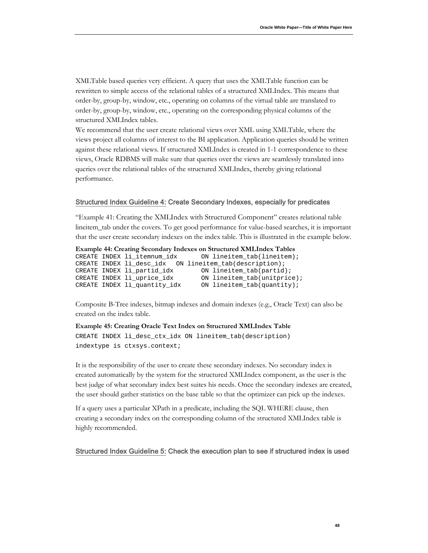XMLTable based queries very efficient. A query that uses the XMLTable function can be rewritten to simple access of the relational tables of a structured XMLIndex. This means that order-by, group-by, window, etc., operating on columns of the virtual table are translated to order-by, group-by, window, etc., operating on the corresponding physical columns of the structured XMLIndex tables.

We recommend that the user create relational views over XML using XMLTable, where the views project all columns of interest to the BI application. Application queries should be written against these relational views. If structured XMLIndex is created in 1-1 correspondence to these views, Oracle RDBMS will make sure that queries over the views are seamlessly translated into queries over the relational tables of the structured XMLIndex, thereby giving relational performance.

#### <span id="page-49-0"></span>Structured Index Guideline 4: Create Secondary Indexes, especially for predicates

" [Example 41: Creating the XMLIndex with Structured Component"](#page-46-1) creates relational table lineitem\_tab under the covers. To get good performance for value-based searches, it is important that the user create secondary indexes on the index table. This is illustrated in the example below.

```
Example 44: Creating Secondary Indexes on Structured XMLIndex Tables
```

```
ON lineitem_tab(lineitem);
CREATE INDEX li_desc_idx ON lineitem_tab(description);
CREATE INDEX li_partid_idx 0N lineitem_tab(partid);<br>CREATE INDEX li_uprice_idx 0N lineitem_tab(unitpric
CREATE INDEX li_uprice_idx ON lineitem_tab(unitprice);<br>CREATE INDEX li_quantity_idx ON lineitem_tab(quantity);
                                             ON lineitem_tab(quantity);
```
Composite B-Tree indexes, bitmap indexes and domain indexes (e.g., Oracle Text) can also be created on the index table.

#### **Example 45: Creating Oracle Text Index on Structured XMLIndex Table**

CREATE INDEX li\_desc\_ctx\_idx ON lineitem\_tab(description) indextype is ctxsys.context;

It is the responsibility of the user to create these secondary indexes. No secondary index is created automatically by the system for the structured XMLIndex component, as the user is the best judge of what secondary index best suites his needs. Once the secondary indexes are created, the user should gather statistics on the base table so that the optimizer can pick up the indexes.

If a query uses a particular XPath in a predicate, including the SQL WHERE clause, then creating a secondary index on the corresponding column of the structured XMLIndex table is highly recommended.

#### <span id="page-49-1"></span>Structured Index Guideline 5: Check the execution plan to see if structured index is used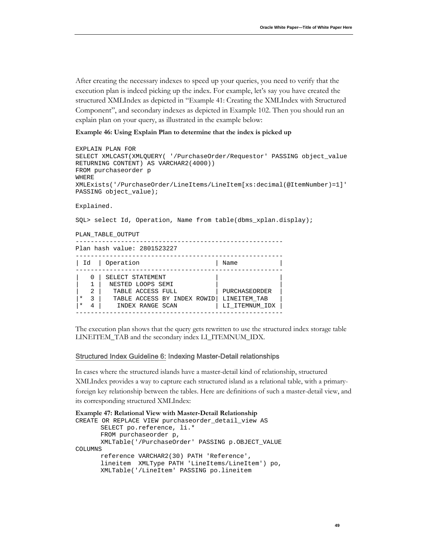After creating the necessary indexes to speed up your queries, you need to verify that the execution plan is indeed picking up the index. For example, let's say you have created the structured XMLIndex as depicted in ["Example 41: Creating the XMLIndex with Structured](#page-46-1)  [Component"](#page-46-1), and secondary indexes as depicted in Example 102. Then you should run an explain plan on your query, as illustrated in the example below:

#### **Example 46: Using Explain Plan to determine that the index is picked up**

```
EXPLAIN PLAN FOR 
SELECT XMLCAST(XMLQUERY( '/PurchaseOrder/Requestor' PASSING object_value 
RETURNING CONTENT) AS VARCHAR2(4000))
FROM purchaseorder p 
WHERE 
XMLExists('/PurchaseOrder/LineItems/LineItem[xs:decimal(@ItemNumber)=1]' 
PASSING object_value);
Explained.
SQL> select Id, Operation, Name from table(dbms_xplan.display);
PLAN_TABLE_OUTPUT
-------------------------------------------------------
Plan hash value: 2801523227
-------------------------------------------------------
| Id | Operation
-------------------------------------------------------
  0 | SELECT STATEMENT |
  1 | NESTED LOOPS SEMI |<br>2 | TABLE ACCESS FULL | | PURCHASEORDER
| 2 | TABLE ACCESS FULL | PURCHASEORDER |
|* 3 | TABLE ACCESS BY INDEX ROWID| LINEITEM_TAB |
|* 4 | INDEX RANGE SCAN | LI_ITEMNUM_IDX |
-------------------------------------------------------
```
The execution plan shows that the query gets rewritten to use the structured index storage table LINEITEM\_TAB and the secondary index LI\_ITEMNUM\_IDX.

#### <span id="page-50-0"></span>Structured Index Guideline 6: Indexing Master-Detail relationships

In cases where the structured islands have a master-detail kind of relationship, structured XMLIndex provides a way to capture each structured island as a relational table, with a primaryforeign key relationship between the tables. Here are definitions of such a master-detail view, and its corresponding structured XMLIndex:

```
Example 47: Relational View with Master-Detail Relationship
CREATE OR REPLACE VIEW purchaseorder_detail_view AS
      SELECT po.reference, li.*
      FROM purchaseorder p,
      XMLTable('/PurchaseOrder' PASSING p.OBJECT_VALUE
COLUMNS
      reference VARCHAR2(30) PATH 'Reference',
      lineitem XMLType PATH 'LineItems/LineItem') po,
      XMLTable('/LineItem' PASSING po.lineitem
```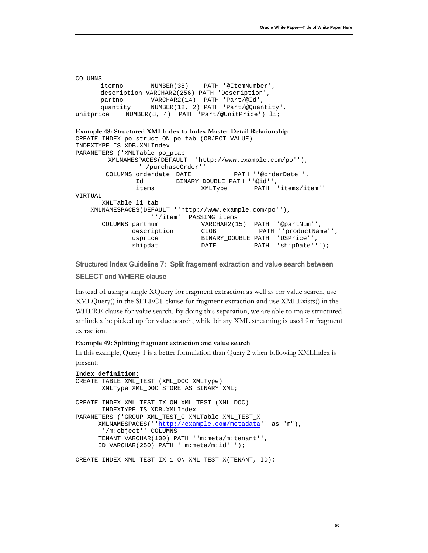```
COLUMNS
      itemno NUMBER(38) PATH '@ItemNumber',
      description VARCHAR2(256) PATH 'Description',
      partno VARCHAR2(14) PATH 'Part/@Id',
      quantity NUMBER(12, 2) PATH 'Part/@Quantity',
unitprice NUMBER(8, 4) PATH 'Part/@UnitPrice') li;
Example 48: Structured XMLIndex to Index Master-Detail Relationship
CREATE INDEX po_struct ON po_tab (OBJECT_VALUE) 
INDEXTYPE IS XDB.XMLIndex 
PARAMETERS ('XMLTable po_ptab 
         XMLNAMESPACES(DEFAULT ''http://www.example.com/po''), 
                 ''/purchaseOrder'' 
       COLUMNS orderdate DATE PATH ''@orderDate'',
                Id BINARY_DOUBLE PATH ''@id'', 
                                items XMLType PATH ''items/item'' 
VIRTUAL 
       XMLTable li_tab 
    XMLNAMESPACES(DEFAULT ''http://www.example.com/po''), 
 ''/item'' PASSING items 
 COLUMNS partnum VARCHAR2(15) PATH ''@partNum'', 
 description CLOB PATH ''productName'', 
              undescription دریافت ......<br>usprice BINARY_DOUBLE PATH ''USPrice'',<br>bath DATE PATH ''shipDate''
                              DATE PATH ''shipDate''');
```
### <span id="page-51-0"></span>Structured Index Guideline 7: Split fragement extraction and value search between SELECT and WHERE clause

Instead of using a single XQuery for fragment extraction as well as for value search, use XMLQuery() in the SELECT clause for fragment extraction and use XMLExists() in the WHERE clause for value search. By doing this separation, we are able to make structured xmlindex be picked up for value search, while binary XML streaming is used for fragment extraction.

#### **Example 49: Splitting fragment extraction and value search**

In this example, Query 1 is a better formulation than Query 2 when following XMLIndex is present:

```
Index definition:
CREATE TABLE XML_TEST (XML_DOC XMLType)
        XMLType XML_DOC STORE AS BINARY XML;
CREATE INDEX XML_TEST_IX ON XML_TEST (XML_DOC)
        INDEXTYPE IS XDB.XMLIndex
PARAMETERS ('GROUP XML_TEST_G XMLTable XML_TEST_X
       XMLNAMESPACES(''http://example.com/metadata'' as "m"),
       ''/m:object'' COLUMNS
       TENANT VARCHAR(100) PATH ''m:meta/m:tenant'',
       ID VARCHAR(250) PATH ''m:meta/m:id''');
CREATE INDEX XML TEST IX 1 ON XML TEST X(TENANT, ID);
```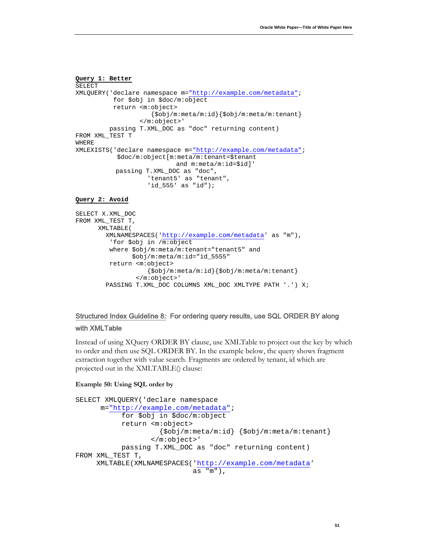```
Query 1: Better
SELECT 
XMLQUERY('declare namespace m="http://example.com/metadata";
           for $obj in $doc/m:object
           return <m:object>
                      {$obj/m:meta/m:id}{$obj/m:meta/m:tenant}
                   </m:object>'
          passing T.XML_DOC as "doc" returning content)
FROM XML_TEST T
WHERE
XMLEXISTS('declare namespace m="http://example.com/metadata"; 
            $doc/m:object[m:meta/m:tenant=$tenant 
                           and m:meta/m:id=$id]' 
            passing T.XML_DOC as "doc",
                     'tenant5' as "tenant",
                    'id_555' as "id");
```
#### **Query 2: Avoid**

```
SELECT X.XML_DOC
FROM XML_TEST T,
       XMLTABLE(
         XMLNAMESPACES('http://example.com/metadata' as "m"),
          'for $obj in /m:object
          where $obj/m:meta/m:tenant="tenant5" and 
                $obj/m:meta/m:id="id_5555"
          return <m:object>
                     {$obj/m:meta/m:id}{$obj/m:meta/m:tenant}
                  </m:object>'
         PASSING T.XML_DOC COLUMNS XML_DOC XMLTYPE PATH '.') X;
```
# <span id="page-52-0"></span>Structured Index Guideline 8: For ordering query results, use SQL ORDER BY along

#### with XMLTable

Instead of using XQuery ORDER BY clause, use XMLTable to project out the key by which to order and then use SQL ORDER BY. In the example below, the query shows fragment extraction together with value search. Fragments are ordered by tenant, id which are projected out in the XMLTABLE() clause:

#### **Example 50: Using SQL order by**

```
SELECT XMLQUERY('declare namespace 
      m="http://example.com/metadata";
            for $obj in $doc/m:object
            return <m:object>
                      {$obj/m:meta/m:id} {$obj/m:meta/m:tenant}
                    </m:object>'
            passing T.XML_DOC as "doc" returning content)
FROM XML TEST T,
      XMLTABLE(XMLNAMESPACES('http://example.com/metadata' 
                              as "m"),
```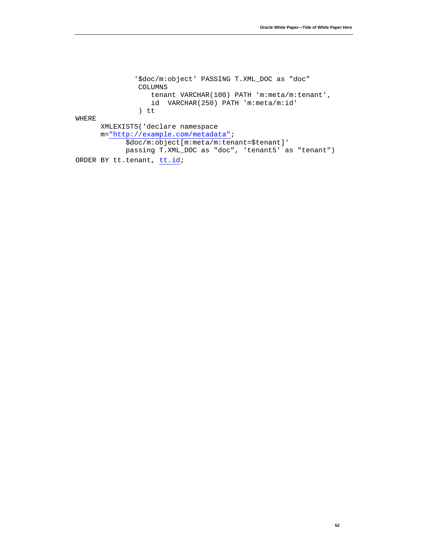'\$doc/m:object' PASSING T.XML\_DOC as "doc" COLUMNS tenant VARCHAR(100) PATH 'm:meta/m:tenant', id VARCHAR(250) PATH 'm:meta/m:id' ) tt WHERE XMLEXISTS('declare namespace m="http://example.com/metadata"; \$doc/m:object[m:meta/m:tenant=\$tenant]' passing T.XML\_DOC as "doc", 'tenant5' as "tenant") ORDER BY tt.tenant, [tt.id;](http://tt.id/)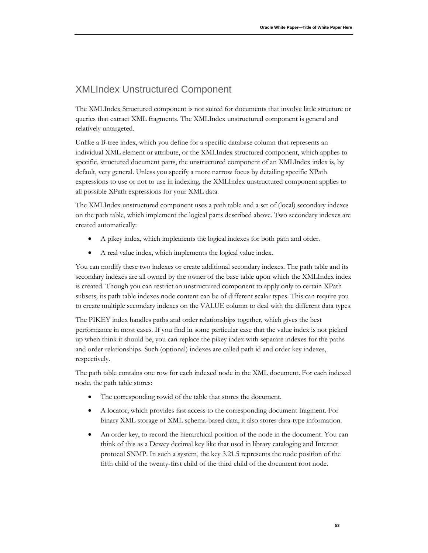# <span id="page-54-0"></span>XMLIndex Unstructured Component

The XMLIndex Structured component is not suited for documents that involve little structure or queries that extract XML fragments. The XMLIndex unstructured component is general and relatively untargeted.

Unlike a B-tree index, which you define for a specific database column that represents an individual XML element or attribute, or the XMLIndex structured component, which applies to specific, structured document parts, the unstructured component of an XMLIndex index is, by default, very general. Unless you specify a more narrow focus by detailing specific XPath expressions to use or not to use in indexing, the XMLIndex unstructured component applies to all possible XPath expressions for your XML data.

The XMLIndex unstructured component uses a path table and a set of (local) secondary indexes on the path table, which implement the logical parts described above. Two secondary indexes are created automatically:

- A pikey index, which implements the logical indexes for both path and order.
- A real value index, which implements the logical value index.

You can modify these two indexes or create additional secondary indexes. The path table and its secondary indexes are all owned by the owner of the base table upon which the XMLIndex index is created. Though you can restrict an unstructured component to apply only to certain XPath subsets, its path table indexes node content can be of different scalar types. This can require you to create multiple secondary indexes on the VALUE column to deal with the different data types.

The PIKEY index handles paths and order relationships together, which gives the best performance in most cases. If you find in some particular case that the value index is not picked up when think it should be, you can replace the pikey index with separate indexes for the paths and order relationships. Such (optional) indexes are called path id and order key indexes, respectively.

The path table contains one row for each indexed node in the XML document. For each indexed node, the path table stores:

- The corresponding rowid of the table that stores the document.
- A locator, which provides fast access to the corresponding document fragment. For binary XML storage of XML schema-based data, it also stores data-type information.
- An order key, to record the hierarchical position of the node in the document. You can think of this as a Dewey decimal key like that used in library cataloging and Internet protocol SNMP. In such a system, the key 3.21.5 represents the node position of the fifth child of the twenty-first child of the third child of the document root node.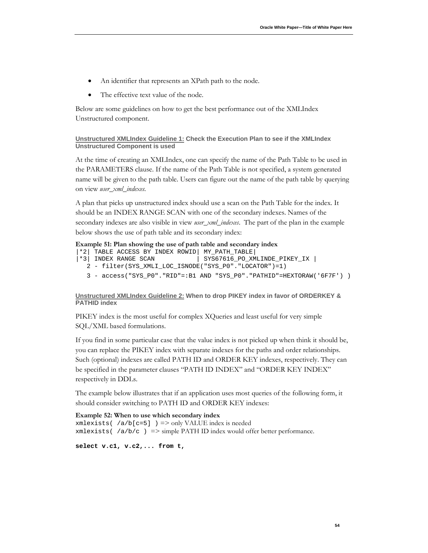- An identifier that represents an XPath path to the node.
- The effective text value of the node.

Below are some guidelines on how to get the best performance out of the XMLIndex Unstructured component.

```
Unstructured XMLIndex Guideline 1:
Check the Execution Plan to see if the XMLIndex 
Unstructured Component is used
```
At the time of creating an XMLIndex, one can specify the name of the Path Table to be used in the PARAMETERS clause. If the name of the Path Table is not specified, a system generated name will be given to the path table. Users can figure out the name of the path table by querying on view *user\_xml\_indexes.*

A plan that picks up unstructured index should use a scan on the Path Table for the index. It should be an INDEX RANGE SCAN with one of the secondary indexes. Names of the secondary indexes are also visible in view *user\_xml\_indexes*. The part of the plan in the example below shows the use of path table and its secondary index:

#### **Example 51: Plan showing the use of path table and secondary index**

```
|*2| TABLE ACCESS BY INDEX ROWID| MY_PATH_TABLE|
                                | SYS67616_PO_XMLINDE_PIKEY_IX |
   2 - filter(SYS_XMLI_LOC_ISNODE("SYS_P0"."LOCATOR")=1)
   3 - access("SYS_P0"."RID"=:B1 AND "SYS_P0"."PATHID"=HEXTORAW('6F7F') )
```
#### <span id="page-55-1"></span>**Unstructured XMLIndex Guideline 2: When to drop PIKEY index in favor of ORDERKEY & PATHID index**

PIKEY index is the most useful for complex XQueries and least useful for very simple SQL/XML based formulations.

If you find in some particular case that the value index is not picked up when think it should be, you can replace the PIKEY index with separate indexes for the paths and order relationships. Such (optional) indexes are called PATH ID and ORDER KEY indexes, respectively. They can be specified in the parameter clauses "PATH ID INDEX" and "ORDER KEY INDEX" respectively in DDLs.

The example below illustrates that if an application uses most queries of the following form, it should consider switching to PATH ID and ORDER KEY indexes:

**Example 52: When to use which secondary index**  $xmlexists( /a/b[ c=5] )$  => only VALUE index is needed  $xmlexists( $|a/b/c|$ )$  => simple PATH ID index would offer better performance.

```
select v.c1, v.c2,... from t,
```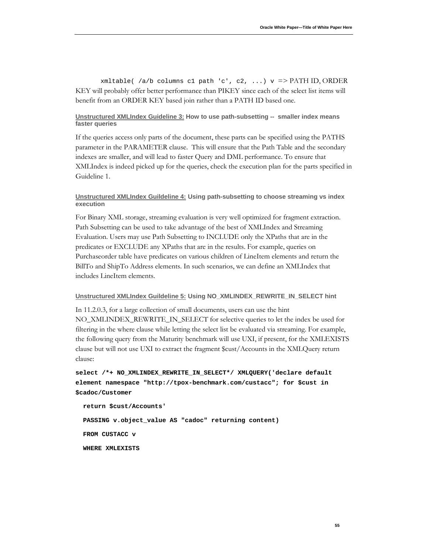xmltable(  $/a/b$  columns c1 path 'c', c2, ...)  $v$  => PATH ID, ORDER KEY will probably offer better performance than PIKEY since each of the select list items will benefit from an ORDER KEY based join rather than a PATH ID based one.

#### <span id="page-56-0"></span>**Unstructured XMLIndex Guideline 3: How to use path-subsetting -- smaller index means faster queries**

If the queries access only parts of the document, these parts can be specified using the PATHS parameter in the PARAMETER clause. This will ensure that the Path Table and the secondary indexes are smaller, and will lead to faster Query and DML performance. To ensure that XMLIndex is indeed picked up for the queries, check the execution plan for the parts specified in Guideline 1.

#### <span id="page-56-1"></span>**Unstructured XMLIndex Guildeline 4: Using path-subsetting to choose streaming vs index execution**

For Binary XML storage, streaming evaluation is very well optimized for fragment extraction. Path Subsetting can be used to take advantage of the best of XMLIndex and Streaming Evaluation. Users may use Path Subsetting to INCLUDE only the XPaths that are in the predicates or EXCLUDE any XPaths that are in the results. For example, queries on Purchaseorder table have predicates on various children of LineItem elements and return the BillTo and ShipTo Address elements. In such scenarios, we can define an XMLIndex that includes LineItem elements.

#### <span id="page-56-2"></span>**Unstructured XMLIndex Guildeline 5: Using NO\_XMLINDEX\_REWRITE\_IN\_SELECT hint**

In 11.2.0.3, for a large collection of small documents, users can use the hint NO\_XMLINDEX\_REWRITE\_IN\_SELECT for selective queries to let the index be used for filtering in the where clause while letting the select list be evaluated via streaming. For example, the following query from the Maturity benchmark will use UXI, if present, for the XMLEXISTS clause but will not use UXI to extract the fragment \$cust/Accounts in the XMLQuery return clause:

**select /\*+ NO\_XMLINDEX\_REWRITE\_IN\_SELECT\*/ XMLQUERY('declare default element namespace "http://tpox-benchmark.com/custacc"; for \$cust in \$cadoc/Customer**

 **return \$cust/Accounts'**

 **PASSING v.object\_value AS "cadoc" returning content) FROM CUSTACC v**

 **WHERE XMLEXISTS**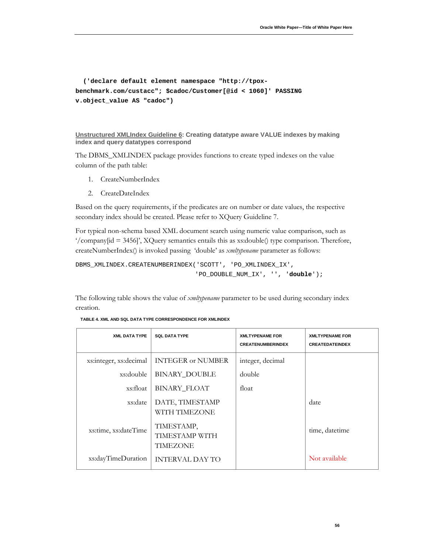```
 ('declare default element namespace "http://tpox-
benchmark.com/custacc"; $cadoc/Customer[@id < 1060]' PASSING 
v.object_value AS "cadoc")
```

```
Unstructured XMLIndex Guideline 6
: Creating datatype aware VALUE indexes by making 
index and query datatypes correspond
```
The DBMS\_XMLINDEX package provides functions to create typed indexes on the value column of the path table:

- 1. CreateNumberIndex
- 2. CreateDateIndex

Based on the query requirements, if the predicates are on number or date values, the respective secondary index should be created. Please refer to XQuery Guideline 7.

For typical non-schema based XML document search using numeric value comparison, such as  $\gamma$  company[id = 3456]', XQuery semantics entails this as xs:double() type comparison. Therefore, createNumberIndex() is invoked passing 'double' as *xmltypename* parameter as follows:

```
DBMS_XMLINDEX.CREATENUMBERINDEX('SCOTT', 'PO_XMLINDEX_IX', 
                                  'PO_DOUBLE_NUM_IX', '', 'double');
```
The following table shows the value of *xmltypename* parameter to be used during secondary index creation.

| <b>XML DATA TYPE</b>   | <b>SQL DATA TYPE</b>                     | <b>XMLTYPENAME FOR</b><br><b>CREATENUMBERINDEX</b> | <b>XMLTYPENAME FOR</b><br><b>CREATEDATEINDEX</b> |
|------------------------|------------------------------------------|----------------------------------------------------|--------------------------------------------------|
| xs:integer, xs:decimal | <b>INTEGER or NUMBER</b>                 | integer, decimal                                   |                                                  |
| xs:double              | <b>BINARY_DOUBLE</b>                     | double                                             |                                                  |
| xs:float               | <b>BINARY_FLOAT</b>                      | float                                              |                                                  |
| xs:date                | DATE, TIMESTAMP<br>WITH TIMEZONE         |                                                    | date                                             |
| xs:time, xs:dateTime   | TIMESTAMP,<br>TIMESTAMP WITH<br>TIMEZONE |                                                    | time, datetime                                   |
| xs:dayTimeDuration     | <b>INTERVAL DAY TO</b>                   |                                                    | Not available                                    |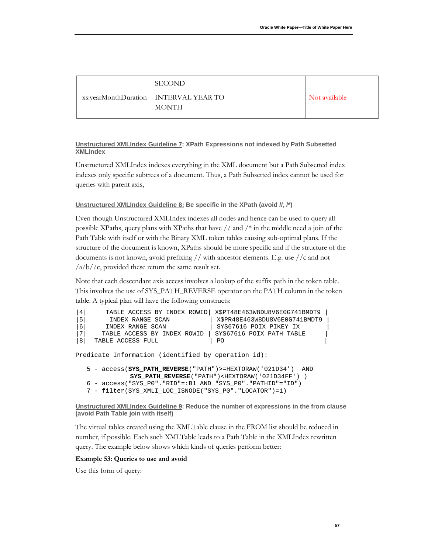| <b>SECOND</b>                                           |               |
|---------------------------------------------------------|---------------|
| xs:yearMonthDuration   INTERVAL YEAR TO<br><b>MONTH</b> | Not available |

#### <span id="page-58-0"></span>**Unstructured XMLIndex Guideline 7 : XPath Expressions not indexed by Path Subsetted XMLIndex**

Unstructured XMLIndex indexes everything in the XML document but a Path Subsetted index indexes only specific subtrees of a document. Thus, a Path Subsetted index cannot be used for queries with parent axis,

#### <span id="page-58-1"></span>**Unstructured XMLIndex Guideline 8: Be specific in the XPath (avoid //, /\*)**

Even though Unstructured XMLIndex indexes all nodes and hence can be used to query all possible XPaths, query plans with XPaths that have  $//$  and  $/*$  in the middle need a join of the Path Table with itself or with the Binary XML token tables causing sub-optimal plans. If the structure of the document is known, XPaths should be more specific and if the structure of the documents is not known, avoid prefixing // with ancestor elements. E.g. use //c and not  $\frac{a}{b}/c$ , provided these return the same result set.

Note that each descendant axis access involves a lookup of the suffix path in the token table. This involves the use of SYS\_PATH\_REVERSE operator on the PATH column in the token table. A typical plan will have the following constructs:

```
|4| TABLE ACCESS BY INDEX ROWID| X$PT48E463W8DU8V6E0G741BMDT9 |
|5|     INDEX RANGE SCAN            | X$PR48E463W8DU8V6E0G741BMDT9<br>|6|   INDEX RANGE SCAN            | SYS67616_POIX_PIKEY_IX
|6| INDEX RANGE SCAN | SYS67616_POIX_PIKEY_IX |
|7| TABLE ACCESS BY INDEX ROWID | SYS67616_POIX_PATH_TABLE |
     TABLE ACCESS FULL
Predicate Information (identified by operation id):
    5 - access(SYS_PATH_REVERSE("PATH")>=HEXTORAW('021D34') AND
                SYS_PATH_REVERSE("PATH")<HEXTORAW('021D34FF') )
    6 - access("SYS_P0"."RID"=:B1 AND "SYS_P0"."PATHID"="ID")
    7 - filter(SYS_XMLI_LOC_ISNODE("SYS_P0"."LOCATOR")=1)
```
<span id="page-58-2"></span>**Unstructured XMLIndex Guideline 9 : Reduce the number of expressions in the from clause (avoid Path Table join with itself)**

The virtual tables created using the XMLTable clause in the FROM list should be reduced in number, if possible. Each such XMLTable leads to a Path Table in the XMLIndex rewritten query. The example below shows which kinds of queries perform better:

#### **Example 53: Queries to use and avoid**

Use this form of query: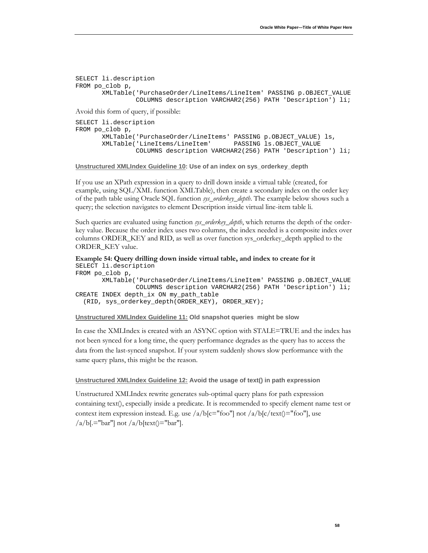```
SELECT li.description
FROM po_clob p,
        XMLTable('PurchaseOrder/LineItems/LineItem' PASSING p.OBJECT_VALUE
                 COLUMNS description VARCHAR2(256) PATH 'Description') li;
Avoid this form of query, if possible:
SELECT li.description
FROM po_clob p,
        XMLTable('PurchaseOrder/LineItems' PASSING p.OBJECT_VALUE) ls,
       XMLTable('LineItems/LineItem'
                 COLUMNS description VARCHAR2(256) PATH 'Description') li;
```
<span id="page-59-0"></span>**Unstructured XMLIndex Guideline 10 : Use of an index on sys\_orderkey\_depth**

If you use an XPath expression in a query to drill down inside a virtual table (created, for example, using SQL/XML function XMLTable), then create a secondary index on the order key of the path table using Oracle SQL function *sys\_orderkey\_depth*. The example below shows such a query; the selection navigates to element Description inside virtual line-item table li.

Such queries are evaluated using function *sys\_orderkey\_depth*, which returns the depth of the orderkey value. Because the order index uses two columns, the index needed is a composite index over columns ORDER\_KEY and RID, as well as over function sys\_orderkey\_depth applied to the ORDER\_KEY value.

```
Example 54: Query drilling down inside virtual table, and index to create for it
SELECT li.description
FROM po_clob p,
        XMLTable('PurchaseOrder/LineItems/LineItem' PASSING p.OBJECT_VALUE
                  COLUMNS description VARCHAR2(256) PATH 'Description') li;
CREATE INDEX depth_ix ON my_path_table
   (RID, sys_orderkey_depth(ORDER_KEY), ORDER_KEY);
```
<span id="page-59-1"></span>**Unstructured XMLIndex Guideline 11: Old snapshot queries might be slow**

In case the XMLIndex is created with an ASYNC option with STALE=TRUE and the index has not been synced for a long time, the query performance degrades as the query has to access the data from the last-synced snapshot. If your system suddenly shows slow performance with the same query plans, this might be the reason.

#### <span id="page-59-2"></span>**Unstructured XMLIndex Guideline 12: Avoid the usage of text() in path expression**

Unstructured XMLIndex rewrite generates sub-optimal query plans for path expression containing text(), especially inside a predicate. It is recommended to specify element name test or context item expression instead. E.g. use  $\sqrt{a/b[c]}$  foo"] not  $\sqrt{a/b[c/\text{text}}]$  = "foo"], use  $a/b[.="bar"$ ] not  $a/b[text()="bar"$ .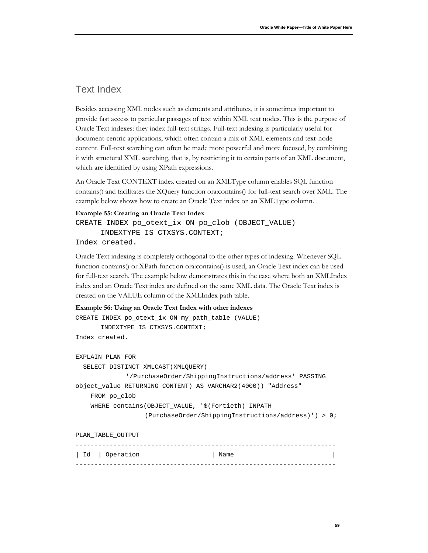### <span id="page-60-0"></span>Text Index

Besides accessing XML nodes such as elements and attributes, it is sometimes important to provide fast access to particular passages of text within XML text nodes. This is the purpose of Oracle Text indexes: they index full-text strings. Full-text indexing is particularly useful for document-centric applications, which often contain a mix of XML elements and text-node content. Full-text searching can often be made more powerful and more focused, by combining it with structural XML searching, that is, by restricting it to certain parts of an XML document, which are identified by using XPath expressions.

An Oracle Text CONTEXT index created on an XMLType column enables SQL function contains() and facilitates the XQuery function ora:contains() for full-text search over XML. The example below shows how to create an Oracle Text index on an XMLType column.

#### **Example 55: Creating an Oracle Text Index**

CREATE INDEX po\_otext\_ix ON po\_clob (OBJECT\_VALUE) INDEXTYPE IS CTXSYS.CONTEXT;

Index created.

Oracle Text indexing is completely orthogonal to the other types of indexing. Whenever SQL function contains() or XPath function ora:contains() is used, an Oracle Text index can be used for full-text search. The example below demonstrates this in the case where both an XMLIndex index and an Oracle Text index are defined on the same XML data. The Oracle Text index is created on the VALUE column of the XMLIndex path table.

```
Example 56: Using an Oracle Text Index with other indexes
CREATE INDEX po_otext_ix ON my_path_table (VALUE) 
       INDEXTYPE IS CTXSYS.CONTEXT;
Index created.
EXPLAIN PLAN FOR
   SELECT DISTINCT XMLCAST(XMLQUERY( 
              '/PurchaseOrder/ShippingInstructions/address' PASSING 
object_value RETURNING CONTENT) AS VARCHAR2(4000)) "Address"
     FROM po_clob
     WHERE contains(OBJECT_VALUE, '$(Fortieth) INPATH 
                    (PurchaseOrder/ShippingInstructions/address)') > 0;
PLAN_TABLE_OUTPUT
```
--------------------------------------------------------------------- | Id | Operation | Name ---------------------------------------------------------------------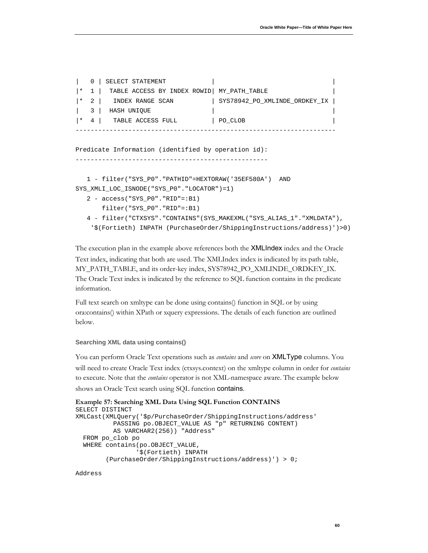```
0 | SELECT STATEMENT |
|* 1 | TABLE ACCESS BY INDEX ROWID| MY_PATH_TABLE |
|* 2 | INDEX RANGE SCAN | SYS78942_PO_XMLINDE_ORDKEY_IX |
   3 | HASH UNIQUE | |
|* 4 | TABLE ACCESS FULL | PO_CLOB
---------------------------------------------------------------------
Predicate Information (identified by operation id):
---------------------------------------------------
   1 - filter("SYS_P0"."PATHID"=HEXTORAW('35EF580A') AND 
SYS_XMLI_LOC_ISNODE("SYS_P0"."LOCATOR")=1)
   2 - access("SYS_P0"."RID"=:B1)
       filter("SYS_P0"."RID"=:B1)
```

```
 4 - filter("CTXSYS"."CONTAINS"(SYS_MAKEXML("SYS_ALIAS_1"."XMLDATA"), 
  '$(Fortieth) INPATH (PurchaseOrder/ShippingInstructions/address)')>0)
```
The execution plan in the example above references both the XMLIndex index and the Oracle Text index, indicating that both are used. The XMLIndex index is indicated by its path table, MY\_PATH\_TABLE, and its order-key index, SYS78942\_PO\_XMLINDE\_ORDKEY\_IX. The Oracle Text index is indicated by the reference to SQL function contains in the predicate information.

Full text search on xmltype can be done using contains() function in SQL or by using ora:contains() within XPath or xquery expressions. The details of each function are outlined below.

#### <span id="page-61-0"></span>**Searching XML data using contains()**

You can perform Oracle Text operations such as *contains* and *score* on XMLType columns. You will need to create Oracle Text index (ctxsys.context) on the xmltype column in order for *contains* to execute. Note that the *contains* operator is not XML-namespace aware. The example below shows an Oracle Text search using SQL function contains.

```
Example 57: Searching XML Data Using SQL Function CONTAINS
SELECT DISTINCT 
XMLCast(XMLQuery('$p/PurchaseOrder/ShippingInstructions/address'
           PASSING po.OBJECT_VALUE AS "p" RETURNING CONTENT)
           AS VARCHAR2(256)) "Address"
   FROM po_clob po
   WHERE contains(po.OBJECT_VALUE,
                  '$(Fortieth) INPATH 
         (PurchaseOrder/ShippingInstructions/address)') > 0;
```
Address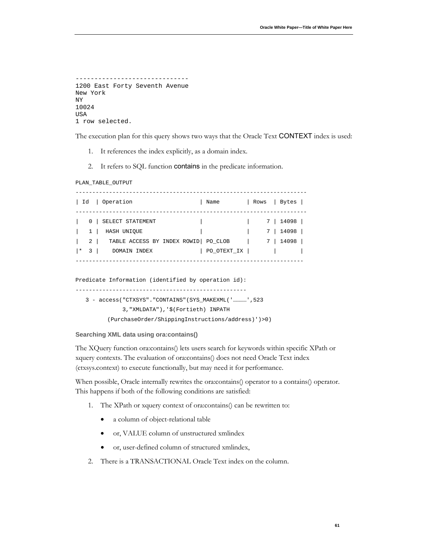```
------------------------------
1200 East Forty Seventh Avenue
New York
NY
10024
USA
1 row selected.
```
The execution plan for this query shows two ways that the Oracle Text **CONTEXT** index is used:

- 1. It references the index explicitly, as a domain index.
- 2. It refers to SQL function contains in the predicate information.

PLAN\_TABLE\_OUTPUT

| Id                                                                    | Operation                                                                               | Name        | Rows | Bytes                                              |  |
|-----------------------------------------------------------------------|-----------------------------------------------------------------------------------------|-------------|------|----------------------------------------------------|--|
| 0<br>$\mathbf{1}$<br>$2 \mid$<br>$\overline{\phantom{0}3}$<br>$\star$ | SELECT STATEMENT<br>HASH UNIOUE<br>TABLE ACCESS BY INDEX ROWID  PO_CLOB<br>DOMAIN INDEX | PO_OTEXT_IX | 7    | 14098  <br>7 I<br>14098<br>14098<br>7 <sup>1</sup> |  |

Predicate Information (identified by operation id): --------------------------------------------------- 3 - access("CTXSYS"."CONTAINS"(SYS\_MAKEXML('…………',523 3,"XMLDATA"),'\$(Fortieth) INPATH (PurchaseOrder/ShippingInstructions/address)')>0)

#### <span id="page-62-0"></span>**Searching XML data using ora:contains()**

The XQuery function ora:contains() lets users search for keywords within specific XPath or xquery contexts. The evaluation of ora:contains() does not need Oracle Text index (ctxsys.context) to execute functionally, but may need it for performance.

When possible, Oracle internally rewrites the ora:contains() operator to a contains() operator. This happens if both of the following conditions are satisfied:

- 1. The XPath or xquery context of ora:contains() can be rewritten to:
	- a column of object-relational table
	- or, VALUE column of unstructured xmlindex
	- or, user-defined column of structured xmlindex,
- 2. There is a TRANSACTIONAL Oracle Text index on the column.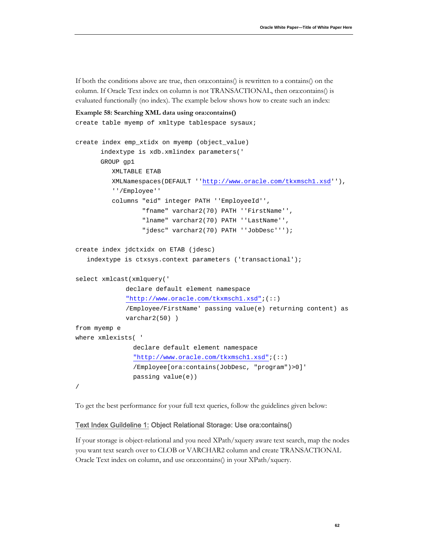If both the conditions above are true, then ora:contains() is rewritten to a contains() on the column. If Oracle Text index on column is not TRANSACTIONAL, then ora:contains() is evaluated functionally (no index). The example below shows how to create such an index:

```
Example 58: Searching XML data using ora:contains()
create table myemp of xmltype tablespace sysaux;
create index emp_xtidx on myemp (object_value)
       indextype is xdb.xmlindex parameters('
      GROUP gp1
           XMLTABLE ETAB 
           XMLNamespaces(DEFAULT ''http://www.oracle.com/tkxmsch1.xsd''),
           ''/Employee''
           columns "eid" integer PATH ''EmployeeId'', 
                   "fname" varchar2(70) PATH ''FirstName'',
                   "lname" varchar2(70) PATH ''LastName'',
                   "jdesc" varchar2(70) PATH ''JobDesc''');
create index jdctxidx on ETAB (jdesc)
    indextype is ctxsys.context parameters ('transactional');
select xmlcast(xmlquery('
             declare default element namespace 
              "http://www.oracle.com/tkxmsch1.xsd";(::)
             /Employee/FirstName' passing value(e) returning content) as 
             varchar2(50) )
from myemp e
where xmlexists( '
                declare default element namespace 
                "http://www.oracle.com/tkxmsch1.xsd";(::)
                /Employee[ora:contains(JobDesc, "program")>0]'
                passing value(e))
/
```
<span id="page-63-0"></span>To get the best performance for your full text queries, follow the guidelines given below:

#### Text Index Guildeline 1: Object Relational Storage: Use ora:contains()

If your storage is object-relational and you need XPath/xquery aware text search, map the nodes you want text search over to CLOB or VARCHAR2 column and create TRANSACTIONAL Oracle Text index on column, and use ora:contains() in your XPath/xquery.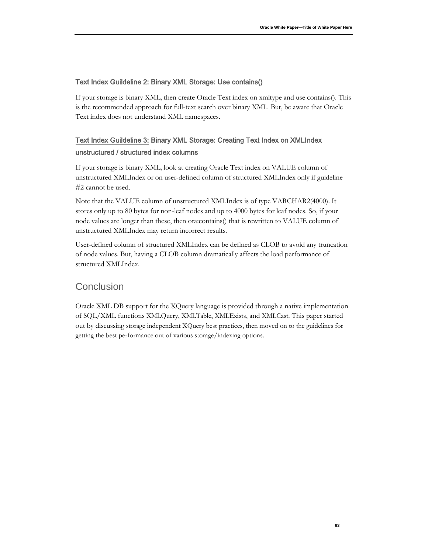### <span id="page-64-0"></span>Text Index Guildeline 2: Binary XML Storage: Use contains()

If your storage is binary XML, then create Oracle Text index on xmltype and use contains(). This is the recommended approach for full-text search over binary XML. But, be aware that Oracle Text index does not understand XML namespaces.

### <span id="page-64-1"></span>Text Index Guildeline 3: Binary XML Storage: Creating Text Index on XMLIndex unstructured / structured index columns

If your storage is binary XML, look at creating Oracle Text index on VALUE column of unstructured XMLIndex or on user-defined column of structured XMLIndex only if guideline #2 cannot be used.

Note that the VALUE column of unstructured XMLIndex is of type VARCHAR2(4000). It stores only up to 80 bytes for non-leaf nodes and up to 4000 bytes for leaf nodes. So, if your node values are longer than these, then ora:contains() that is rewritten to VALUE column of unstructured XMLIndex may return incorrect results.

User-defined column of structured XMLIndex can be defined as CLOB to avoid any truncation of node values. But, having a CLOB column dramatically affects the load performance of structured XMLIndex.

### <span id="page-64-2"></span>**Conclusion**

Oracle XML DB support for the XQuery language is provided through a native implementation of SQL/XML functions XMLQuery, XMLTable, XMLExists, and XMLCast. This paper started out by discussing storage independent XQuery best practices, then moved on to the guidelines for getting the best performance out of various storage/indexing options.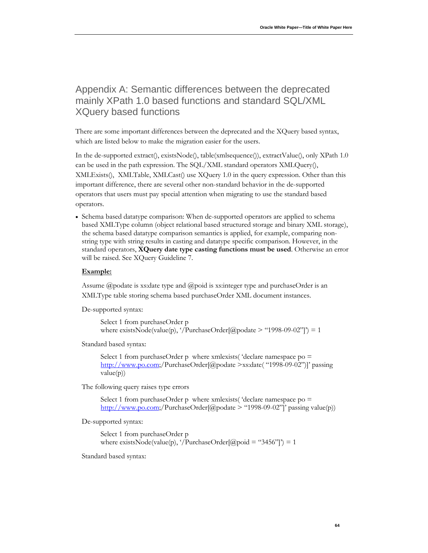# <span id="page-65-0"></span>Appendix A: Semantic differences between the deprecated mainly XPath 1.0 based functions and standard SQL/XML XQuery based functions

There are some important differences between the deprecated and the XQuery based syntax, which are listed below to make the migration easier for the users.

In the de-supported extract(), existsNode(), table(xmlsequence()), extractValue(), only XPath 1.0 can be used in the path expression. The SQL/XML standard operators XMLQuery(), XMLExists(), XMLTable, XMLCast() use XQuery 1.0 in the query expression. Other than this important difference, there are several other non-standard behavior in the de-supported operators that users must pay special attention when migrating to use the standard based operators.

• Schema based datatype comparison: When de-supported operators are applied to schema based XMLType column (object relational based structured storage and binary XML storage), the schema based datatype comparison semantics is applied, for example, comparing nonstring type with string results in casting and datatype specific comparison. However, in the standard operators, **XQuery date type casting functions must be used**. Otherwise an error will be raised. See XQuery Guideline 7.

#### **Example:**

Assume @podate is xs:date type and @poid is xs:integer type and purchaseOrder is an XMLType table storing schema based purchaseOrder XML document instances.

De-supported syntax:

Select 1 from purchaseOrder p where exists Node(value(p), '/PurchaseOrder[@podate > "1998-09-02"]') = 1

Standard based syntax:

Select 1 from purchaseOrder p where xmlexists( 'declare namespace po = [http://www.po.com;](http://www.po.com/)/PurchaseOrder[@podate >xs:date( "1998-09-02")]' passing value(p))

The following query raises type errors

Select 1 from purchaseOrder p where xmlexists ('declare namespace  $po =$ [http://www.po.com;](http://www.po.com/)/PurchaseOrder[@podate > "1998-09-02"]' passing value(p))

De-supported syntax:

Select 1 from purchaseOrder p where exists Node(value(p), '/PurchaseOrder[@poid = "3456"]') = 1

Standard based syntax: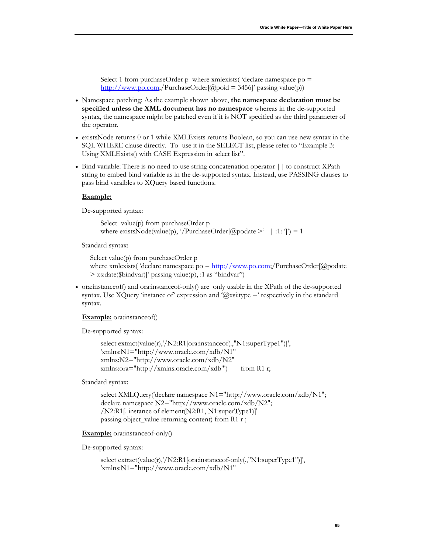Select 1 from purchaseOrder p where xmlexists( 'declare namespace po = [http://www.po.com;](http://www.po.com/)/PurchaseOrder[@poid = 3456]' passing value(p))

- Namespace patching: As the example shown above, **the namespace declaration must be specified unless the XML document has no namespace** whereas in the de-supported syntax, the namespace might be patched even if it is NOT specified as the third parameter of the operator.
- existsNode returns 0 or 1 while XMLExists returns Boolean, so you can use new syntax in the SQL WHERE clause directly. To use it in the SELECT list, please refer to ["Example 3:](#page-9-0)  [Using XMLExists\(\) with CASE Expression in select list"](#page-9-0).
- Bind variable: There is no need to use string concatenation operator  $||\,$  to construct XPath string to embed bind variable as in the de-supported syntax. Instead, use PASSING clauses to pass bind varaibles to XQuery based functions.

#### **Example:**

De-supported syntax:

Select value(p) from purchaseOrder p where exists Node(value(p), '/PurchaseOrder[@podate >' || :1: ']') = 1

Standard syntax:

Select value(p) from purchaseOrder p where xmlexists( 'declare namespace  $po = \frac{http://www.po.com/}$ PurchaseOrder[@podate] > xs:date(\$bindvar)]' passing value(p), :1 as "bindvar")

• ora:instanceof() and ora:instanceof-only() are only usable in the XPath of the de-supported syntax. Use XQuery 'instance of' expression and '@xsi:type =' respectively in the standard syntax.

#### **Example:** ora:instanceof()

De-supported syntax:

```
select extract(value(r),'/N2:R1[ora:instanceof(.,"N1:superType1")]', 
'xmlns:N1="http://www.oracle.com/xdb/N1" 
xmlns:N2="http://www.oracle.com/xdb/N2" 
xmlns:ora="http://xmlns.oracle.com/xdb"') from R1 r;
```
Standard syntax:

select XMLQuery('declare namespace N1="http://www.oracle.com/xdb/N1"; declare namespace N2="http://www.oracle.com/xdb/N2"; /N2:R1[. instance of element(N2:R1, N1:superType1)]' passing object\_value returning content) from R1 r ;

**Example:** ora:instanceof-only()

De-supported syntax:

select extract(value(r),'/N2:R1[ora:instanceof-only(.,"N1:superType1")]', 'xmlns:N1="http://www.oracle.com/xdb/N1"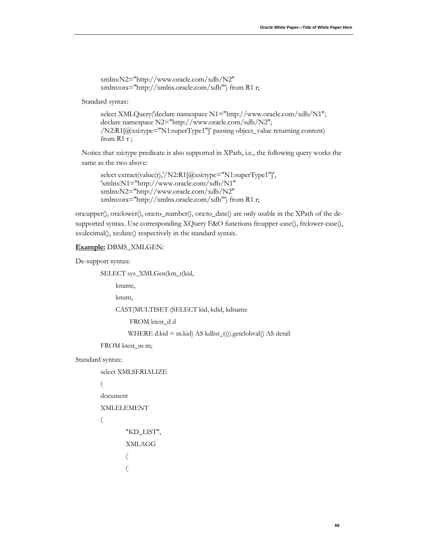```
xmlns:N2="http://www.oracle.com/xdb/N2" 
xmlns:ora="http://xmlns.oracle.com/xdb"') from R1 r;
```
Standard syntax:

```
select XMLQuery('declare namespace N1="http://www.oracle.com/xdb/N1"; 
declare namespace N2="http://www.oracle.com/xdb/N2"; 
/N2:R1[@xsi:type="N1:superType1"]' passing object_value returning content) 
from R1 r ;
```
Notice that xsi:type predicate is also supported in XPath, i.e., the following query works the same as the two above:

```
select extract(value(r),'/N2:R1[@xsi:type="N1:superType1"]', 
'xmlns:N1="http://www.oracle.com/xdb/N1" 
xmlns:N2="http://www.oracle.com/xdb/N2" 
xmlns:ora="http://xmlns.oracle.com/xdb"') from R1 r;
```
ora:upper(), ora:lower(), ora:to\_number(), ora:to\_date() are only usable in the XPath of the desupported syntax. Use corresponding XQuery F&O functions fn:upper-case(), fn:lower-case(), xs:decimal(), xs:date() respectively in the standard syntax.

#### **Example:** DBMS\_XMLGEN:

De-support syntax:

SELECT sys\_XMLGen(km\_t(kid,

kname,

knum,

CAST(MULTISET (SELECT kid, kdid, kdname

FROM ktest\_d d

WHERE d.kid = m.kid) AS kdlist\_t))).getclobval() AS detail

FROM ktest\_m m;

#### Standard syntax:

select XMLSERIALIZE

#### (

document

XMLELEMENT

#### $\overline{\phantom{a}}$

```
 "KD_LIST",
                  XMLAGG
\overline{\phantom{a}}\overline{\phantom{a}}
```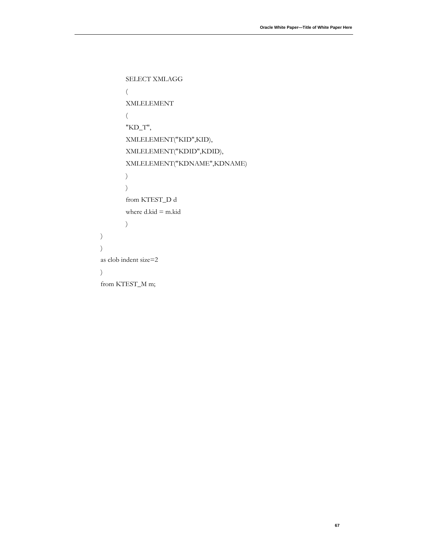```
 SELECT XMLAGG
\sim (
              XMLELEMENT
\overline{\phantom{a}} "KD_T",
              XMLELEMENT("KID",KID),
              XMLELEMENT("KDID",KDID),
              XMLELEMENT("KDNAME",KDNAME)
\hspace{1.6cm}\hspace{1.6cm} from KTEST_D d
              where d.kid = m.kid
\hspace{1.6cm} as clob indent size=2
       from KTEST_M m;
```
 )  $\lambda$ 

 $\lambda$